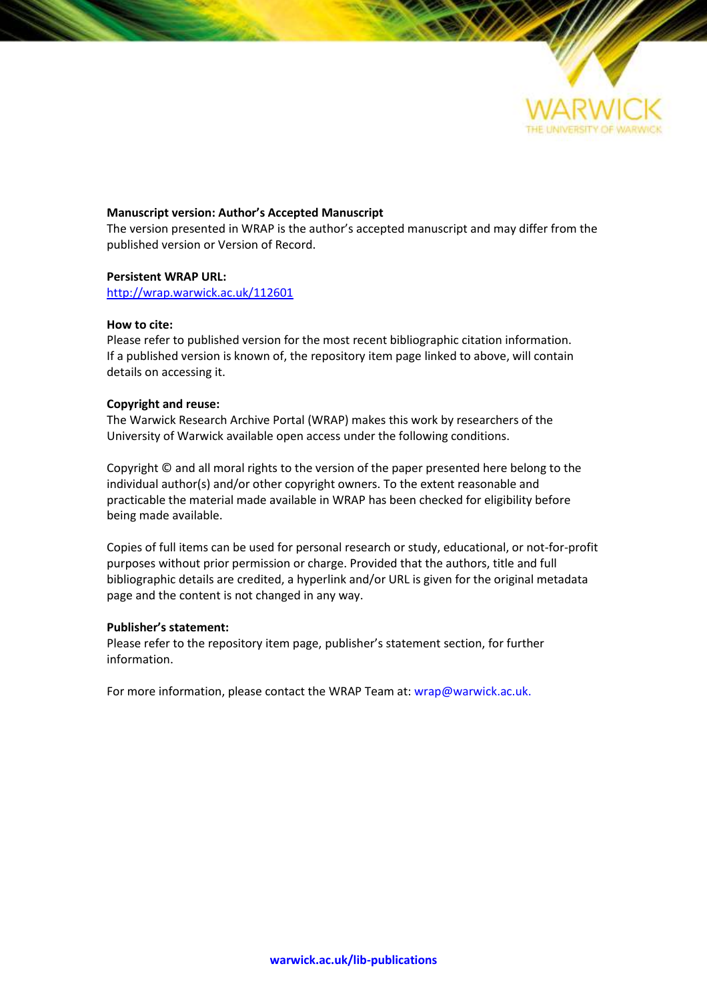

#### **Manuscript version: Author's Accepted Manuscript**

The version presented in WRAP is the author's accepted manuscript and may differ from the published version or Version of Record.

#### **Persistent WRAP URL:**

<http://wrap.warwick.ac.uk/112601>

#### **How to cite:**

Please refer to published version for the most recent bibliographic citation information. If a published version is known of, the repository item page linked to above, will contain details on accessing it.

#### **Copyright and reuse:**

The Warwick Research Archive Portal (WRAP) makes this work by researchers of the University of Warwick available open access under the following conditions.

Copyright © and all moral rights to the version of the paper presented here belong to the individual author(s) and/or other copyright owners. To the extent reasonable and practicable the material made available in WRAP has been checked for eligibility before being made available.

Copies of full items can be used for personal research or study, educational, or not-for-profit purposes without prior permission or charge. Provided that the authors, title and full bibliographic details are credited, a hyperlink and/or URL is given for the original metadata page and the content is not changed in any way.

#### **Publisher's statement:**

Please refer to the repository item page, publisher's statement section, for further information.

For more information, please contact the WRAP Team at[: wrap@warwick.ac.uk.](mailto:wrap@warwick.ac.uk)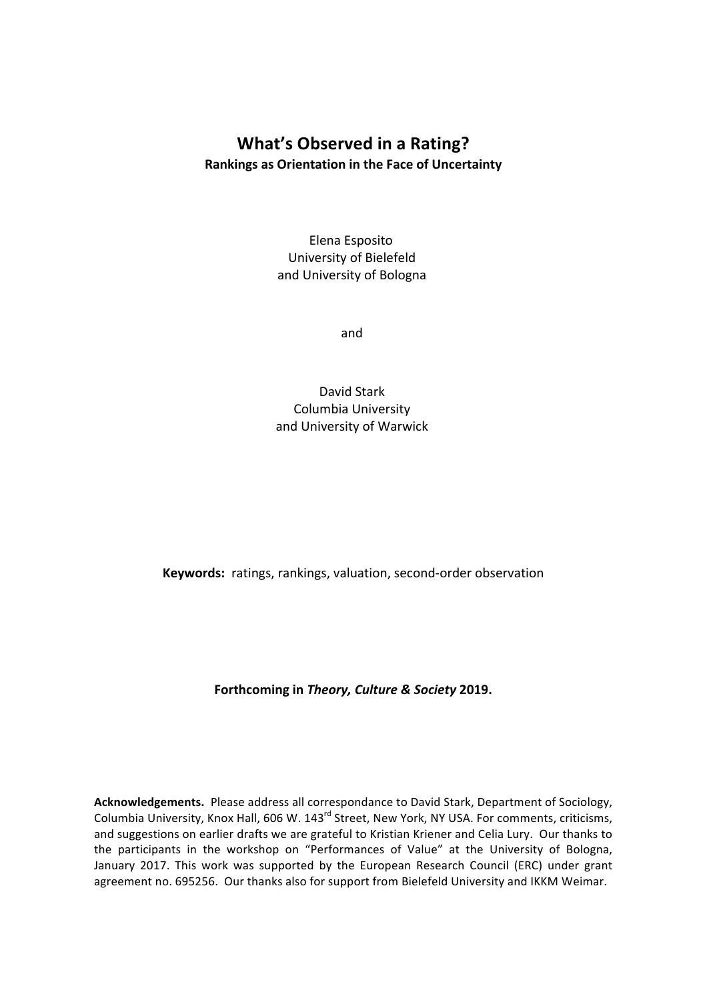# **What's Observed in a Rating? Rankings as Orientation in the Face of Uncertainty**

Elena Esposito University of Bielefeld and University of Bologna

and

David Stark Columbia University and University of Warwick

**Keywords:** ratings, rankings, valuation, second-order observation

Forthcoming in *Theory, Culture & Society* 2019.

Acknowledgements. Please address all correspondance to David Stark, Department of Sociology, Columbia University, Knox Hall, 606 W. 143<sup>rd</sup> Street, New York, NY USA. For comments, criticisms, and suggestions on earlier drafts we are grateful to Kristian Kriener and Celia Lury. Our thanks to the participants in the workshop on "Performances of Value" at the University of Bologna, January 2017. This work was supported by the European Research Council (ERC) under grant agreement no. 695256. Our thanks also for support from Bielefeld University and IKKM Weimar.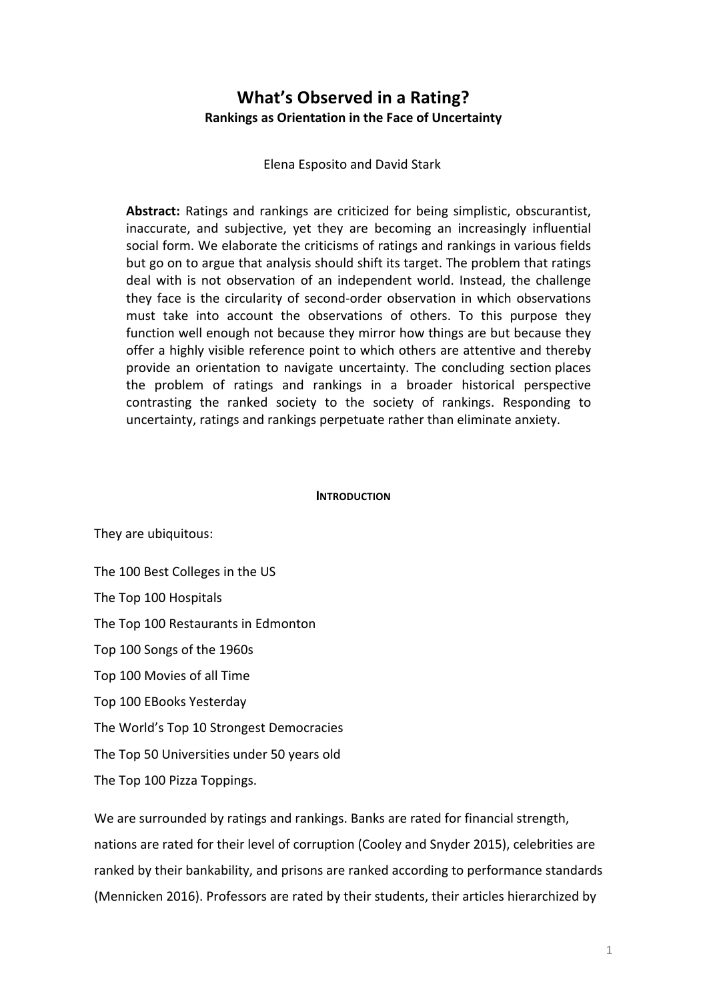# **What's Observed in a Rating? Rankings as Orientation in the Face of Uncertainty**

Elena Esposito and David Stark

Abstract: Ratings and rankings are criticized for being simplistic, obscurantist, inaccurate, and subjective, yet they are becoming an increasingly influential social form. We elaborate the criticisms of ratings and rankings in various fields but go on to argue that analysis should shift its target. The problem that ratings deal with is not observation of an independent world. Instead, the challenge they face is the circularity of second-order observation in which observations must take into account the observations of others. To this purpose they function well enough not because they mirror how things are but because they offer a highly visible reference point to which others are attentive and thereby provide an orientation to navigate uncertainty. The concluding section places the problem of ratings and rankings in a broader historical perspective contrasting the ranked society to the society of rankings. Responding to uncertainty, ratings and rankings perpetuate rather than eliminate anxiety.

### **INTRODUCTION**

They are ubiquitous:

The 100 Best Colleges in the US

The Top 100 Hospitals

The Top 100 Restaurants in Edmonton

Top 100 Songs of the 1960s

Top 100 Movies of all Time

Top 100 EBooks Yesterday

The World's Top 10 Strongest Democracies

The Top 50 Universities under 50 years old

The Top 100 Pizza Toppings.

We are surrounded by ratings and rankings. Banks are rated for financial strength, nations are rated for their level of corruption (Cooley and Snyder 2015), celebrities are ranked by their bankability, and prisons are ranked according to performance standards (Mennicken 2016). Professors are rated by their students, their articles hierarchized by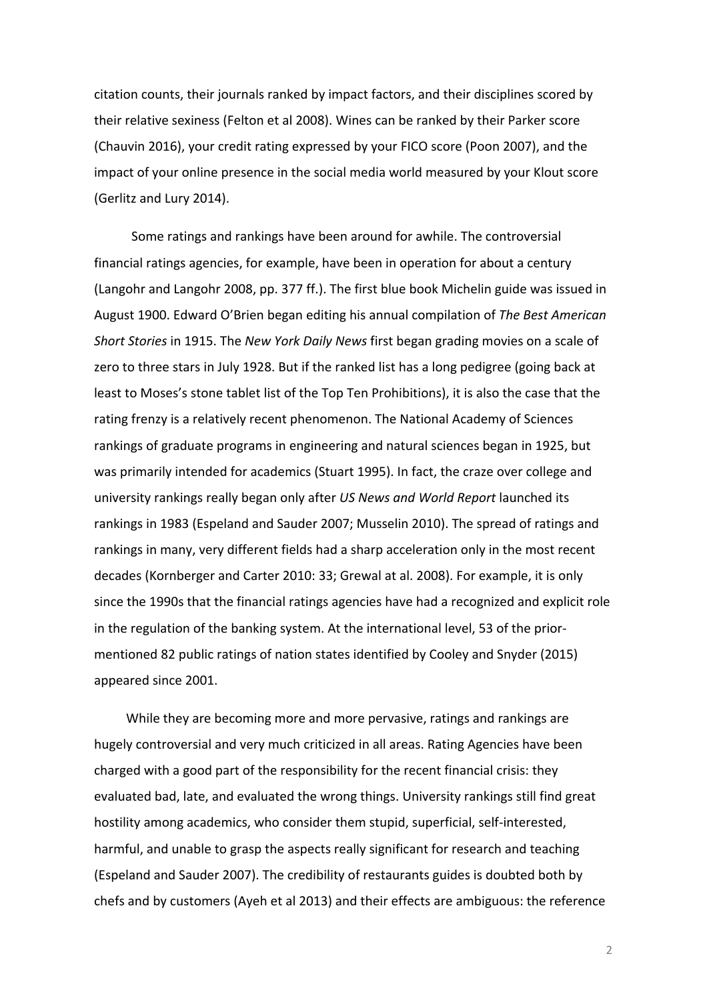citation counts, their journals ranked by impact factors, and their disciplines scored by their relative sexiness (Felton et al 2008). Wines can be ranked by their Parker score (Chauvin 2016), your credit rating expressed by your FICO score (Poon 2007), and the impact of your online presence in the social media world measured by your Klout score (Gerlitz and Lury 2014).

Some ratings and rankings have been around for awhile. The controversial financial ratings agencies, for example, have been in operation for about a century (Langohr and Langohr 2008, pp. 377 ff.). The first blue book Michelin guide was issued in August 1900. Edward O'Brien began editing his annual compilation of The Best American *Short Stories* in 1915. The *New York Daily News* first began grading movies on a scale of zero to three stars in July 1928. But if the ranked list has a long pedigree (going back at least to Moses's stone tablet list of the Top Ten Prohibitions), it is also the case that the rating frenzy is a relatively recent phenomenon. The National Academy of Sciences rankings of graduate programs in engineering and natural sciences began in 1925, but was primarily intended for academics (Stuart 1995). In fact, the craze over college and university rankings really began only after US News and World Report launched its rankings in 1983 (Espeland and Sauder 2007; Musselin 2010). The spread of ratings and rankings in many, very different fields had a sharp acceleration only in the most recent decades (Kornberger and Carter 2010: 33; Grewal at al. 2008). For example, it is only since the 1990s that the financial ratings agencies have had a recognized and explicit role in the regulation of the banking system. At the international level, 53 of the priormentioned 82 public ratings of nation states identified by Cooley and Snyder (2015) appeared since 2001.

While they are becoming more and more pervasive, ratings and rankings are hugely controversial and very much criticized in all areas. Rating Agencies have been charged with a good part of the responsibility for the recent financial crisis: they evaluated bad, late, and evaluated the wrong things. University rankings still find great hostility among academics, who consider them stupid, superficial, self-interested, harmful, and unable to grasp the aspects really significant for research and teaching (Espeland and Sauder 2007). The credibility of restaurants guides is doubted both by chefs and by customers (Ayeh et al 2013) and their effects are ambiguous: the reference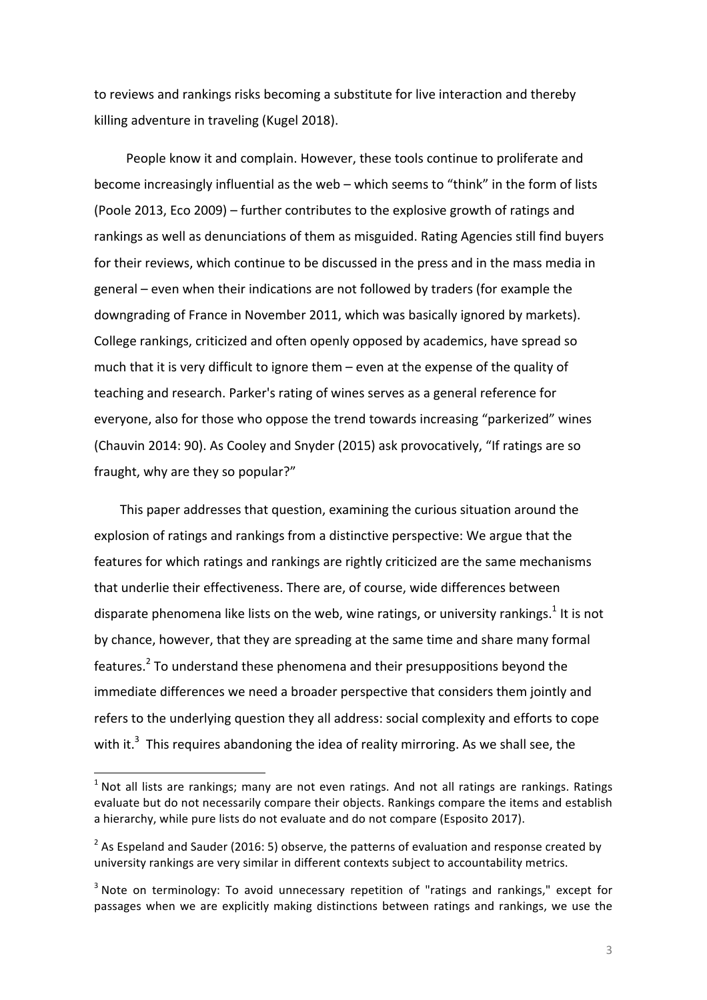to reviews and rankings risks becoming a substitute for live interaction and thereby killing adventure in traveling (Kugel 2018).

People know it and complain. However, these tools continue to proliferate and become increasingly influential as the web – which seems to "think" in the form of lists (Poole 2013, Eco 2009) - further contributes to the explosive growth of ratings and rankings as well as denunciations of them as misguided. Rating Agencies still find buyers for their reviews, which continue to be discussed in the press and in the mass media in general – even when their indications are not followed by traders (for example the downgrading of France in November 2011, which was basically ignored by markets). College rankings, criticized and often openly opposed by academics, have spread so much that it is very difficult to ignore them  $-$  even at the expense of the quality of teaching and research. Parker's rating of wines serves as a general reference for everyone, also for those who oppose the trend towards increasing "parkerized" wines (Chauvin 2014: 90). As Cooley and Snyder (2015) ask provocatively, "If ratings are so fraught, why are they so popular?"

This paper addresses that question, examining the curious situation around the explosion of ratings and rankings from a distinctive perspective: We argue that the features for which ratings and rankings are rightly criticized are the same mechanisms that underlie their effectiveness. There are, of course, wide differences between disparate phenomena like lists on the web, wine ratings, or university rankings.<sup>1</sup> It is not by chance, however, that they are spreading at the same time and share many formal features.<sup>2</sup> To understand these phenomena and their presuppositions beyond the immediate differences we need a broader perspective that considers them jointly and refers to the underlying question they all address: social complexity and efforts to cope with it. $3$  This requires abandoning the idea of reality mirroring. As we shall see, the

 $<sup>1</sup>$  Not all lists are rankings; many are not even ratings. And not all ratings are rankings. Ratings</sup> evaluate but do not necessarily compare their objects. Rankings compare the items and establish a hierarchy, while pure lists do not evaluate and do not compare (Esposito 2017).

<sup>&</sup>lt;sup>2</sup> As Espeland and Sauder (2016: 5) observe, the patterns of evaluation and response created by university rankings are very similar in different contexts subject to accountability metrics.

 $3$  Note on terminology: To avoid unnecessary repetition of "ratings and rankings," except for passages when we are explicitly making distinctions between ratings and rankings, we use the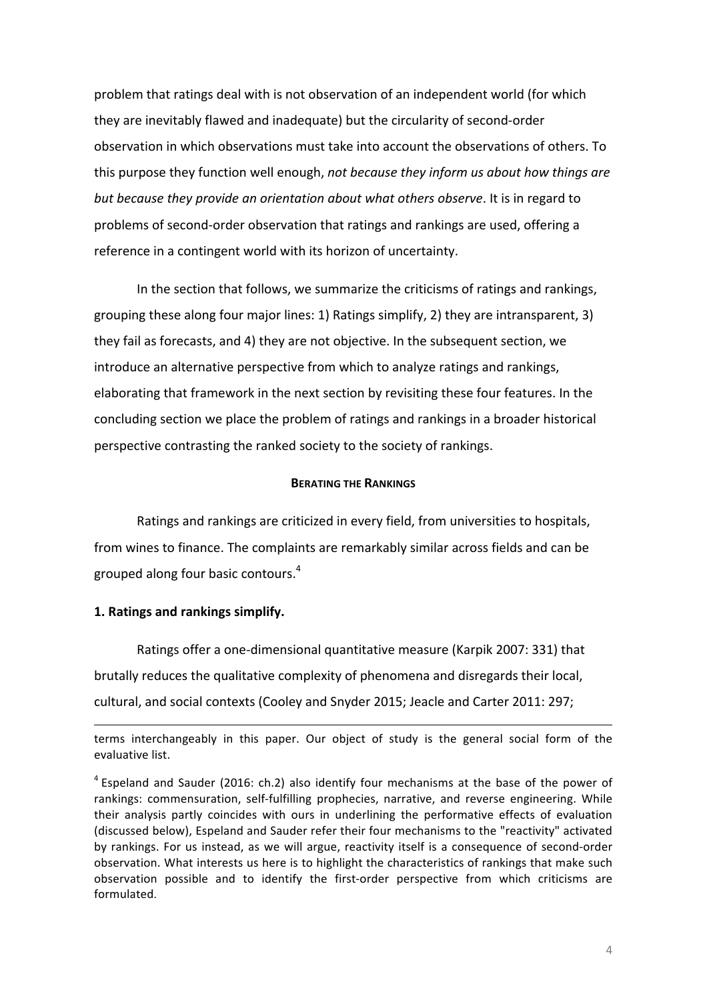problem that ratings deal with is not observation of an independent world (for which they are inevitably flawed and inadequate) but the circularity of second-order observation in which observations must take into account the observations of others. To this purpose they function well enough, *not because they inform us about how things are* but because they provide an orientation about what others observe. It is in regard to problems of second-order observation that ratings and rankings are used, offering a reference in a contingent world with its horizon of uncertainty.

In the section that follows, we summarize the criticisms of ratings and rankings, grouping these along four major lines: 1) Ratings simplify, 2) they are intransparent, 3) they fail as forecasts, and 4) they are not objective. In the subsequent section, we introduce an alternative perspective from which to analyze ratings and rankings, elaborating that framework in the next section by revisiting these four features. In the concluding section we place the problem of ratings and rankings in a broader historical perspective contrasting the ranked society to the society of rankings.

## **BERATING THE RANKINGS**

Ratings and rankings are criticized in every field, from universities to hospitals, from wines to finance. The complaints are remarkably similar across fields and can be grouped along four basic contours. $4$ 

## 1. Ratings and rankings simplify.

Ratings offer a one-dimensional quantitative measure (Karpik 2007: 331) that brutally reduces the qualitative complexity of phenomena and disregards their local, cultural, and social contexts (Cooley and Snyder 2015; Jeacle and Carter 2011: 297;

<sup>&</sup>lt;u> 1989 - Andrea Santa Andrea Andrea Andrea Andrea Andrea Andrea Andrea Andrea Andrea Andrea Andrea Andrea Andr</u> terms interchangeably in this paper. Our object of study is the general social form of the evaluative list.

 $4$  Espeland and Sauder (2016: ch.2) also identify four mechanisms at the base of the power of rankings: commensuration, self-fulfilling prophecies, narrative, and reverse engineering. While their analysis partly coincides with ours in underlining the performative effects of evaluation (discussed below), Espeland and Sauder refer their four mechanisms to the "reactivity" activated by rankings. For us instead, as we will argue, reactivity itself is a consequence of second-order observation. What interests us here is to highlight the characteristics of rankings that make such observation possible and to identify the first-order perspective from which criticisms are formulated.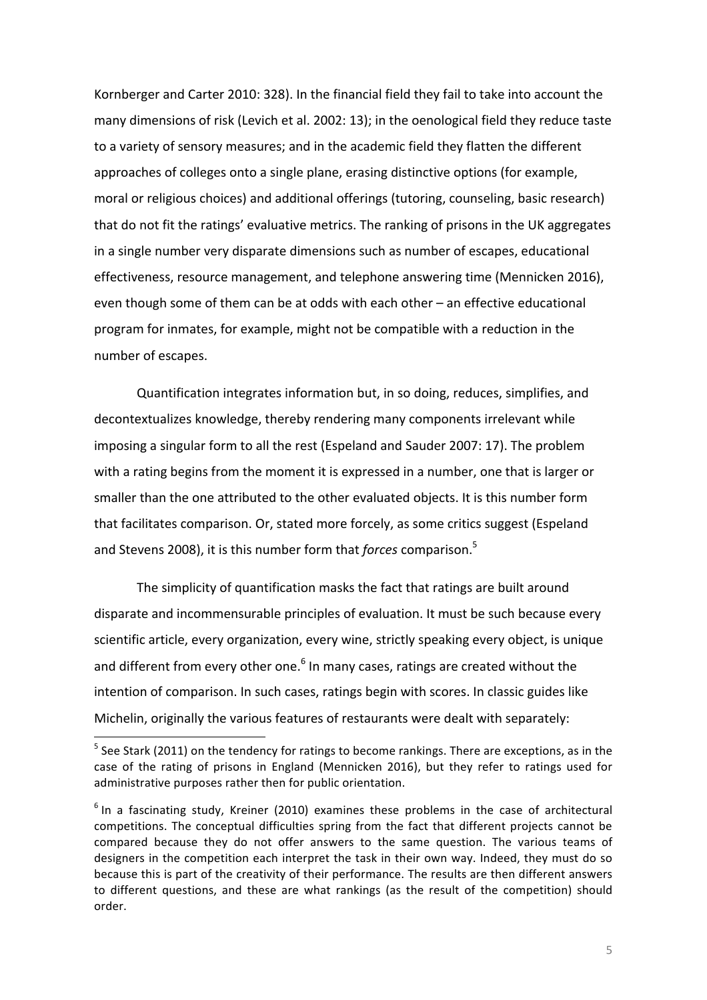Kornberger and Carter 2010: 328). In the financial field they fail to take into account the many dimensions of risk (Levich et al. 2002: 13); in the oenological field they reduce taste to a variety of sensory measures; and in the academic field they flatten the different approaches of colleges onto a single plane, erasing distinctive options (for example, moral or religious choices) and additional offerings (tutoring, counseling, basic research) that do not fit the ratings' evaluative metrics. The ranking of prisons in the UK aggregates in a single number very disparate dimensions such as number of escapes, educational effectiveness, resource management, and telephone answering time (Mennicken 2016), even though some of them can be at odds with each other – an effective educational program for inmates, for example, might not be compatible with a reduction in the number of escapes.

Quantification integrates information but, in so doing, reduces, simplifies, and decontextualizes knowledge, thereby rendering many components irrelevant while imposing a singular form to all the rest (Espeland and Sauder 2007: 17). The problem with a rating begins from the moment it is expressed in a number, one that is larger or smaller than the one attributed to the other evaluated objects. It is this number form that facilitates comparison. Or, stated more forcely, as some critics suggest (Espeland and Stevens 2008), it is this number form that *forces* comparison.<sup>5</sup>

The simplicity of quantification masks the fact that ratings are built around disparate and incommensurable principles of evaluation. It must be such because every scientific article, every organization, every wine, strictly speaking every object, is unique and different from every other one. $6$  In many cases, ratings are created without the intention of comparison. In such cases, ratings begin with scores. In classic guides like Michelin, originally the various features of restaurants were dealt with separately:

 $<sup>5</sup>$  See Stark (2011) on the tendency for ratings to become rankings. There are exceptions, as in the</sup> case of the rating of prisons in England (Mennicken 2016), but they refer to ratings used for administrative purposes rather then for public orientation.

 $6$  In a fascinating study, Kreiner (2010) examines these problems in the case of architectural competitions. The conceptual difficulties spring from the fact that different projects cannot be compared because they do not offer answers to the same question. The various teams of designers in the competition each interpret the task in their own way. Indeed, they must do so because this is part of the creativity of their performance. The results are then different answers to different questions, and these are what rankings (as the result of the competition) should order.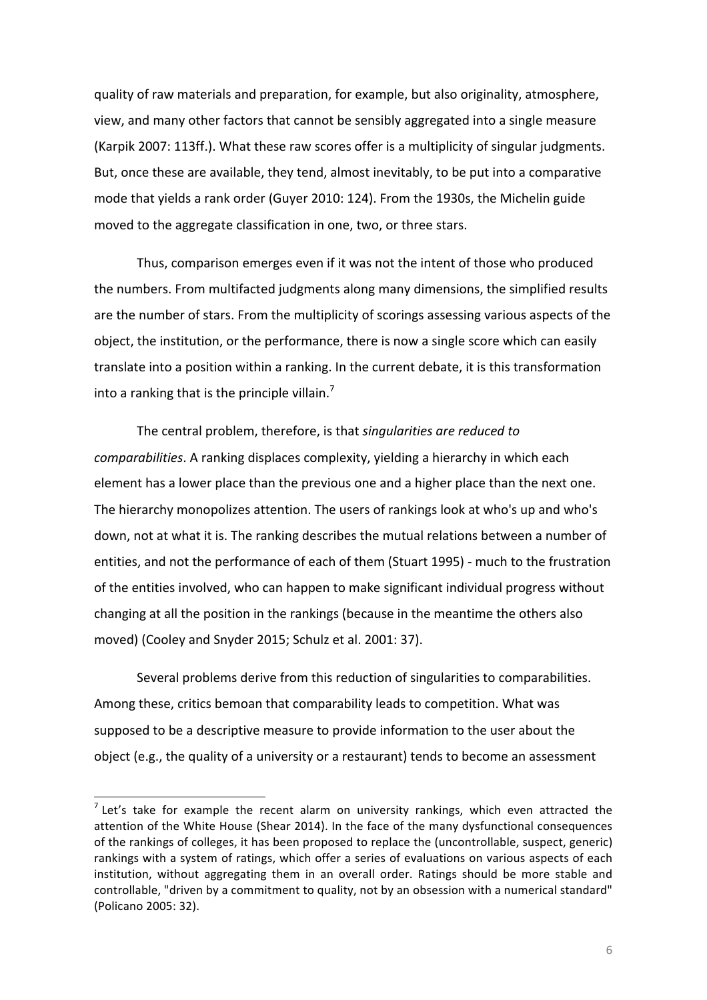quality of raw materials and preparation, for example, but also originality, atmosphere, view, and many other factors that cannot be sensibly aggregated into a single measure (Karpik 2007: 113ff.). What these raw scores offer is a multiplicity of singular judgments. But, once these are available, they tend, almost inevitably, to be put into a comparative mode that yields a rank order (Guyer 2010: 124). From the 1930s, the Michelin guide moved to the aggregate classification in one, two, or three stars.

Thus, comparison emerges even if it was not the intent of those who produced the numbers. From multifacted judgments along many dimensions, the simplified results are the number of stars. From the multiplicity of scorings assessing various aspects of the object, the institution, or the performance, there is now a single score which can easily translate into a position within a ranking. In the current debate, it is this transformation into a ranking that is the principle villain.<sup>7</sup>

The central problem, therefore, is that *singularities are reduced to comparabilities*. A ranking displaces complexity, yielding a hierarchy in which each element has a lower place than the previous one and a higher place than the next one. The hierarchy monopolizes attention. The users of rankings look at who's up and who's down, not at what it is. The ranking describes the mutual relations between a number of entities, and not the performance of each of them (Stuart 1995) - much to the frustration of the entities involved, who can happen to make significant individual progress without changing at all the position in the rankings (because in the meantime the others also moved) (Cooley and Snyder 2015; Schulz et al. 2001: 37).

Several problems derive from this reduction of singularities to comparabilities. Among these, critics bemoan that comparability leads to competition. What was supposed to be a descriptive measure to provide information to the user about the object (e.g., the quality of a university or a restaurant) tends to become an assessment

<u> 1989 - Johann Stein, marwolaethau a bh</u>

 $<sup>7</sup>$  Let's take for example the recent alarm on university rankings, which even attracted the</sup> attention of the White House (Shear 2014). In the face of the many dysfunctional consequences of the rankings of colleges, it has been proposed to replace the (uncontrollable, suspect, generic) rankings with a system of ratings, which offer a series of evaluations on various aspects of each institution, without aggregating them in an overall order. Ratings should be more stable and controllable, "driven by a commitment to quality, not by an obsession with a numerical standard" (Policano 2005: 32).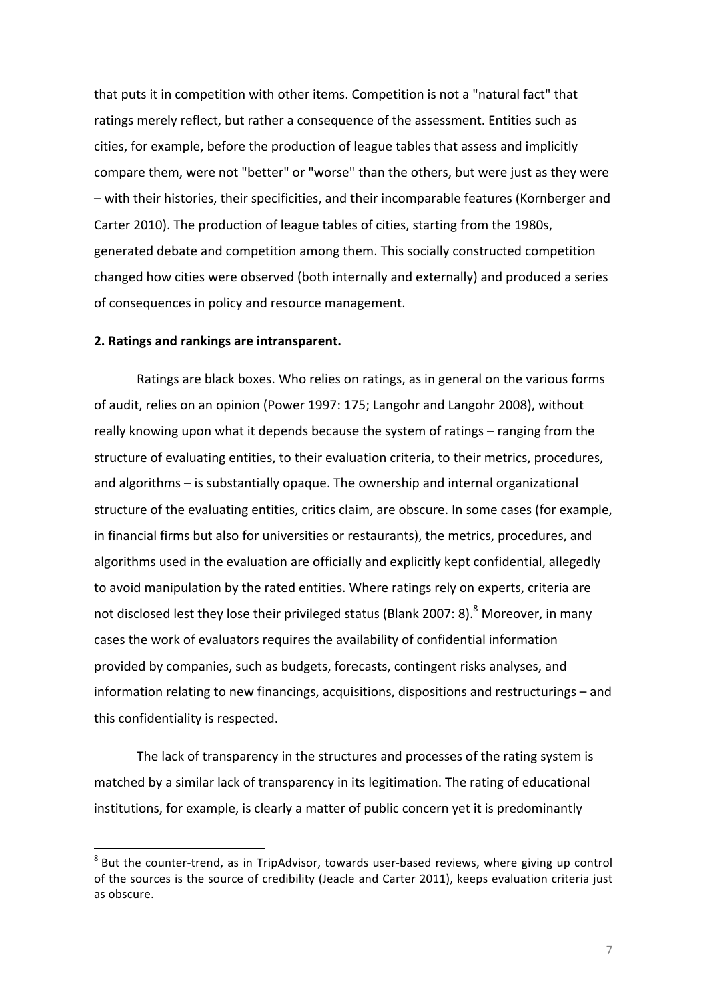that puts it in competition with other items. Competition is not a "natural fact" that ratings merely reflect, but rather a consequence of the assessment. Entities such as cities, for example, before the production of league tables that assess and implicitly compare them, were not "better" or "worse" than the others, but were just as they were – with their histories, their specificities, and their incomparable features (Kornberger and Carter 2010). The production of league tables of cities, starting from the 1980s, generated debate and competition among them. This socially constructed competition changed how cities were observed (both internally and externally) and produced a series of consequences in policy and resource management.

#### **2. Ratings and rankings are intransparent.**

 

Ratings are black boxes. Who relies on ratings, as in general on the various forms of audit, relies on an opinion (Power 1997: 175; Langohr and Langohr 2008), without really knowing upon what it depends because the system of ratings – ranging from the structure of evaluating entities, to their evaluation criteria, to their metrics, procedures, and algorithms – is substantially opaque. The ownership and internal organizational structure of the evaluating entities, critics claim, are obscure. In some cases (for example, in financial firms but also for universities or restaurants), the metrics, procedures, and algorithms used in the evaluation are officially and explicitly kept confidential, allegedly to avoid manipulation by the rated entities. Where ratings rely on experts, criteria are not disclosed lest they lose their privileged status (Blank 2007: 8).<sup>8</sup> Moreover, in many cases the work of evaluators requires the availability of confidential information provided by companies, such as budgets, forecasts, contingent risks analyses, and information relating to new financings, acquisitions, dispositions and restructurings – and this confidentiality is respected.

The lack of transparency in the structures and processes of the rating system is matched by a similar lack of transparency in its legitimation. The rating of educational institutions, for example, is clearly a matter of public concern yet it is predominantly

 $8$  But the counter-trend, as in TripAdvisor, towards user-based reviews, where giving up control of the sources is the source of credibility (Jeacle and Carter 2011), keeps evaluation criteria just as obscure.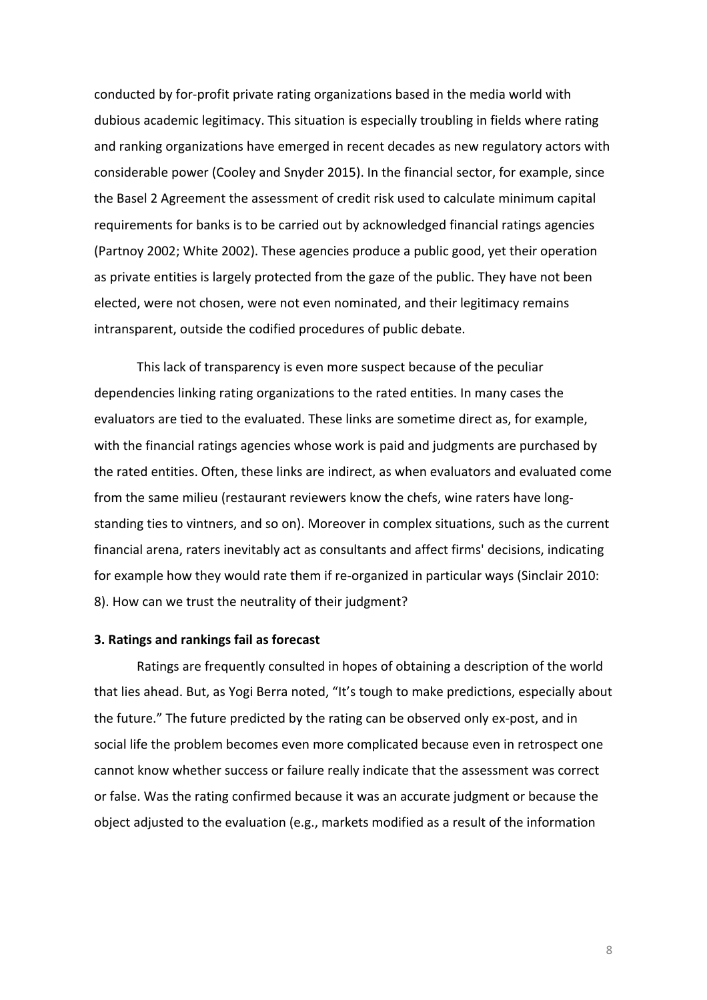conducted by for-profit private rating organizations based in the media world with dubious academic legitimacy. This situation is especially troubling in fields where rating and ranking organizations have emerged in recent decades as new regulatory actors with considerable power (Cooley and Snyder 2015). In the financial sector, for example, since the Basel 2 Agreement the assessment of credit risk used to calculate minimum capital requirements for banks is to be carried out by acknowledged financial ratings agencies (Partnoy 2002; White 2002). These agencies produce a public good, yet their operation as private entities is largely protected from the gaze of the public. They have not been elected, were not chosen, were not even nominated, and their legitimacy remains intransparent, outside the codified procedures of public debate.

This lack of transparency is even more suspect because of the peculiar dependencies linking rating organizations to the rated entities. In many cases the evaluators are tied to the evaluated. These links are sometime direct as, for example, with the financial ratings agencies whose work is paid and judgments are purchased by the rated entities. Often, these links are indirect, as when evaluators and evaluated come from the same milieu (restaurant reviewers know the chefs, wine raters have longstanding ties to vintners, and so on). Moreover in complex situations, such as the current financial arena, raters inevitably act as consultants and affect firms' decisions, indicating for example how they would rate them if re-organized in particular ways (Sinclair 2010: 8). How can we trust the neutrality of their judgment?

#### **3. Ratings and rankings fail as forecast**

Ratings are frequently consulted in hopes of obtaining a description of the world that lies ahead. But, as Yogi Berra noted, "It's tough to make predictions, especially about the future." The future predicted by the rating can be observed only ex-post, and in social life the problem becomes even more complicated because even in retrospect one cannot know whether success or failure really indicate that the assessment was correct or false. Was the rating confirmed because it was an accurate judgment or because the object adjusted to the evaluation (e.g., markets modified as a result of the information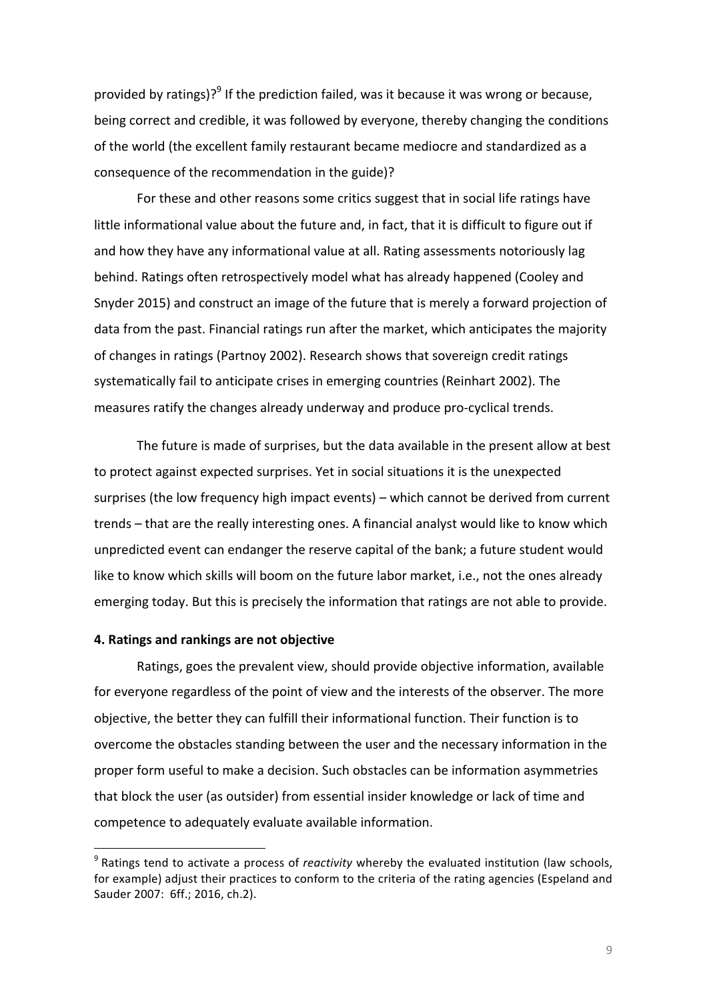provided by ratings)?<sup>9</sup> If the prediction failed, was it because it was wrong or because, being correct and credible, it was followed by everyone, thereby changing the conditions of the world (the excellent family restaurant became mediocre and standardized as a consequence of the recommendation in the guide)?

For these and other reasons some critics suggest that in social life ratings have little informational value about the future and, in fact, that it is difficult to figure out if and how they have any informational value at all. Rating assessments notoriously lag behind. Ratings often retrospectively model what has already happened (Cooley and Snyder 2015) and construct an image of the future that is merely a forward projection of data from the past. Financial ratings run after the market, which anticipates the majority of changes in ratings (Partnoy 2002). Research shows that sovereign credit ratings systematically fail to anticipate crises in emerging countries (Reinhart 2002). The measures ratify the changes already underway and produce pro-cyclical trends.

The future is made of surprises, but the data available in the present allow at best to protect against expected surprises. Yet in social situations it is the unexpected surprises (the low frequency high impact events) – which cannot be derived from current trends – that are the really interesting ones. A financial analyst would like to know which unpredicted event can endanger the reserve capital of the bank; a future student would like to know which skills will boom on the future labor market, i.e., not the ones already emerging today. But this is precisely the information that ratings are not able to provide.

### **4. Ratings and rankings are not objective**

 

Ratings, goes the prevalent view, should provide objective information, available for everyone regardless of the point of view and the interests of the observer. The more objective, the better they can fulfill their informational function. Their function is to overcome the obstacles standing between the user and the necessary information in the proper form useful to make a decision. Such obstacles can be information asymmetries that block the user (as outsider) from essential insider knowledge or lack of time and competence to adequately evaluate available information.

 $9$  Ratings tend to activate a process of *reactivity* whereby the evaluated institution (law schools, for example) adjust their practices to conform to the criteria of the rating agencies (Espeland and Sauder 2007: 6ff.; 2016, ch.2).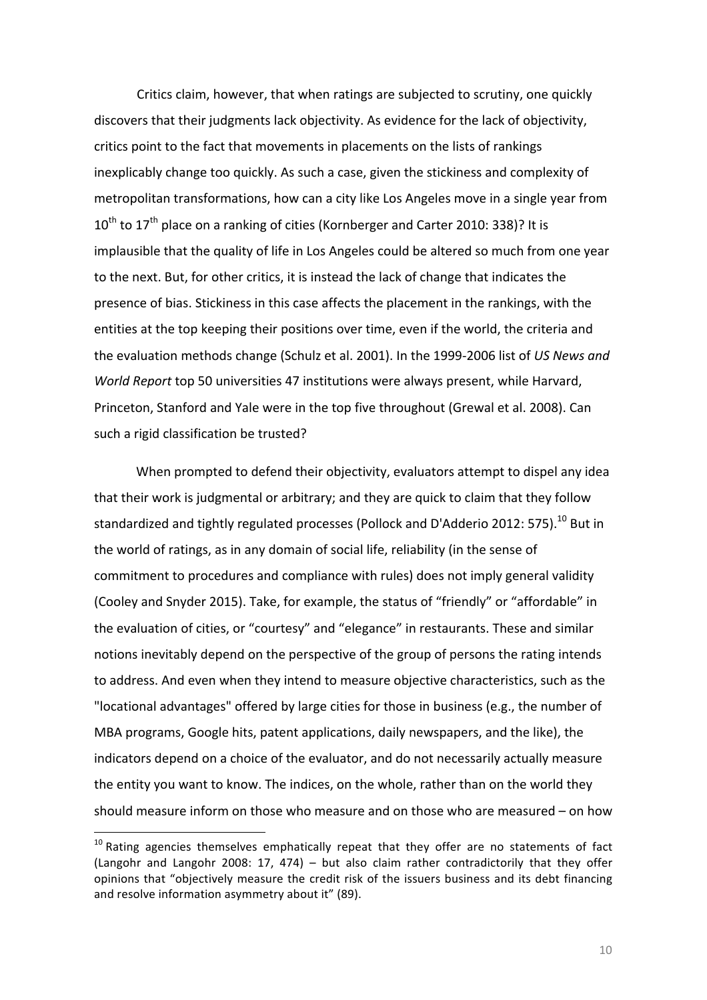Critics claim, however, that when ratings are subjected to scrutiny, one quickly discovers that their judgments lack objectivity. As evidence for the lack of objectivity, critics point to the fact that movements in placements on the lists of rankings inexplicably change too quickly. As such a case, given the stickiness and complexity of metropolitan transformations, how can a city like Los Angeles move in a single year from  $10^{\text{th}}$  to  $17^{\text{th}}$  place on a ranking of cities (Kornberger and Carter 2010: 338)? It is implausible that the quality of life in Los Angeles could be altered so much from one year to the next. But, for other critics, it is instead the lack of change that indicates the presence of bias. Stickiness in this case affects the placement in the rankings, with the entities at the top keeping their positions over time, even if the world, the criteria and the evaluation methods change (Schulz et al. 2001). In the 1999-2006 list of US News and *World Report* top 50 universities 47 institutions were always present, while Harvard, Princeton, Stanford and Yale were in the top five throughout (Grewal et al. 2008). Can such a rigid classification be trusted?

When prompted to defend their objectivity, evaluators attempt to dispel any idea that their work is judgmental or arbitrary; and they are quick to claim that they follow standardized and tightly regulated processes (Pollock and D'Adderio 2012: 575).<sup>10</sup> But in the world of ratings, as in any domain of social life, reliability (in the sense of commitment to procedures and compliance with rules) does not imply general validity (Cooley and Snyder 2015). Take, for example, the status of "friendly" or "affordable" in the evaluation of cities, or "courtesy" and "elegance" in restaurants. These and similar notions inevitably depend on the perspective of the group of persons the rating intends to address. And even when they intend to measure objective characteristics, such as the "locational advantages" offered by large cities for those in business (e.g., the number of MBA programs, Google hits, patent applications, daily newspapers, and the like), the indicators depend on a choice of the evaluator, and do not necessarily actually measure the entity you want to know. The indices, on the whole, rather than on the world they should measure inform on those who measure and on those who are measured  $-$  on how

 

 $10$  Rating agencies themselves emphatically repeat that they offer are no statements of fact (Langohr and Langohr 2008: 17, 474) – but also claim rather contradictorily that they offer opinions that "objectively measure the credit risk of the issuers business and its debt financing and resolve information asymmetry about it" (89).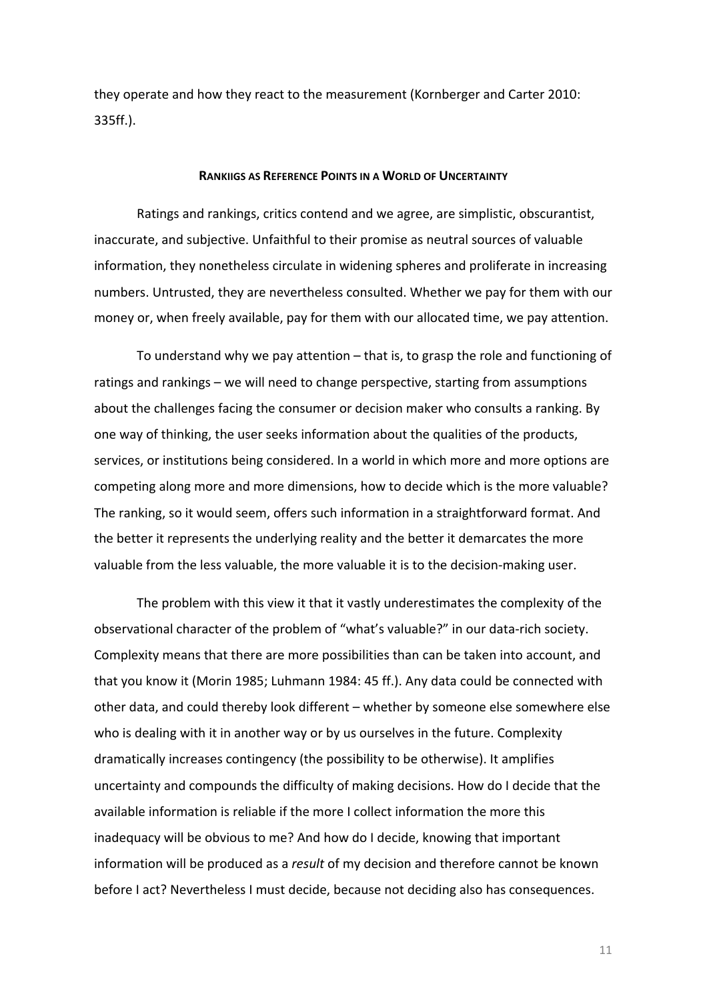they operate and how they react to the measurement (Kornberger and Carter 2010: 335ff.).

### **RANKIIGS AS REFERENCE POINTS IN A WORLD OF UNCERTAINTY**

Ratings and rankings, critics contend and we agree, are simplistic, obscurantist, inaccurate, and subjective. Unfaithful to their promise as neutral sources of valuable information, they nonetheless circulate in widening spheres and proliferate in increasing numbers. Untrusted, they are nevertheless consulted. Whether we pay for them with our money or, when freely available, pay for them with our allocated time, we pay attention.

To understand why we pay attention  $-$  that is, to grasp the role and functioning of ratings and rankings – we will need to change perspective, starting from assumptions about the challenges facing the consumer or decision maker who consults a ranking. By one way of thinking, the user seeks information about the qualities of the products, services, or institutions being considered. In a world in which more and more options are competing along more and more dimensions, how to decide which is the more valuable? The ranking, so it would seem, offers such information in a straightforward format. And the better it represents the underlying reality and the better it demarcates the more valuable from the less valuable, the more valuable it is to the decision-making user.

The problem with this view it that it vastly underestimates the complexity of the observational character of the problem of "what's valuable?" in our data-rich society. Complexity means that there are more possibilities than can be taken into account, and that you know it (Morin 1985; Luhmann 1984: 45 ff.). Any data could be connected with other data, and could thereby look different - whether by someone else somewhere else who is dealing with it in another way or by us ourselves in the future. Complexity dramatically increases contingency (the possibility to be otherwise). It amplifies uncertainty and compounds the difficulty of making decisions. How do I decide that the available information is reliable if the more I collect information the more this inadequacy will be obvious to me? And how do I decide, knowing that important information will be produced as a *result* of my decision and therefore cannot be known before I act? Nevertheless I must decide, because not deciding also has consequences.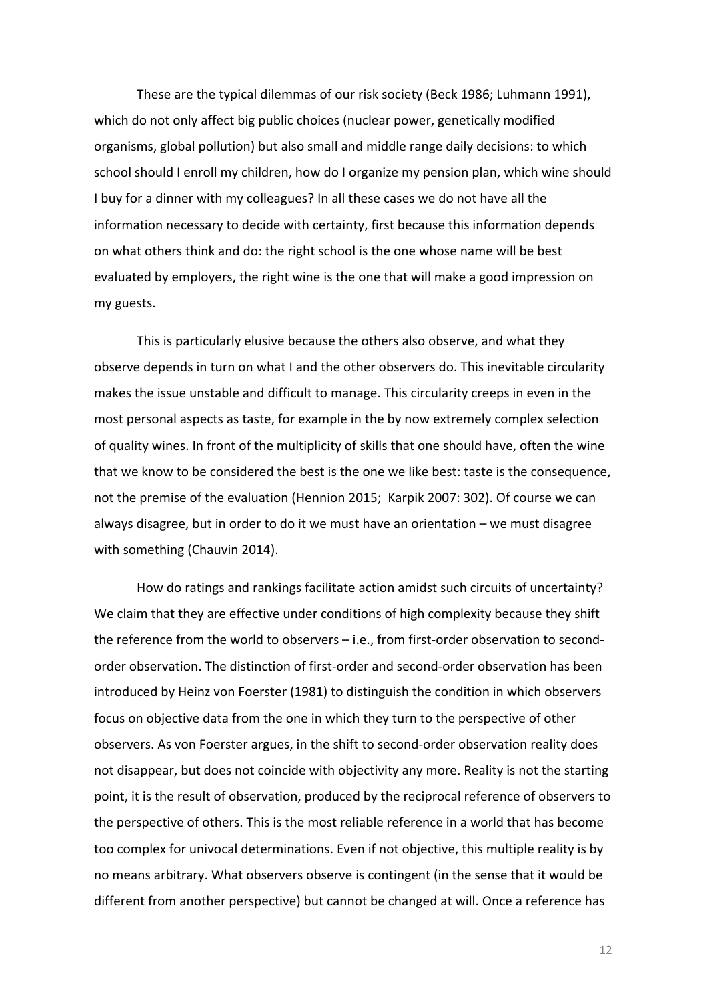These are the typical dilemmas of our risk society (Beck 1986; Luhmann 1991), which do not only affect big public choices (nuclear power, genetically modified organisms, global pollution) but also small and middle range daily decisions: to which school should I enroll my children, how do I organize my pension plan, which wine should I buy for a dinner with my colleagues? In all these cases we do not have all the information necessary to decide with certainty, first because this information depends on what others think and do: the right school is the one whose name will be best evaluated by employers, the right wine is the one that will make a good impression on my guests.

This is particularly elusive because the others also observe, and what they observe depends in turn on what I and the other observers do. This inevitable circularity makes the issue unstable and difficult to manage. This circularity creeps in even in the most personal aspects as taste, for example in the by now extremely complex selection of quality wines. In front of the multiplicity of skills that one should have, often the wine that we know to be considered the best is the one we like best: taste is the consequence, not the premise of the evaluation (Hennion 2015; Karpik 2007: 302). Of course we can always disagree, but in order to do it we must have an orientation  $-$  we must disagree with something (Chauvin 2014).

How do ratings and rankings facilitate action amidst such circuits of uncertainty? We claim that they are effective under conditions of high complexity because they shift the reference from the world to observers  $-$  i.e., from first-order observation to secondorder observation. The distinction of first-order and second-order observation has been introduced by Heinz von Foerster (1981) to distinguish the condition in which observers focus on objective data from the one in which they turn to the perspective of other observers. As von Foerster argues, in the shift to second-order observation reality does not disappear, but does not coincide with objectivity any more. Reality is not the starting point, it is the result of observation, produced by the reciprocal reference of observers to the perspective of others. This is the most reliable reference in a world that has become too complex for univocal determinations. Even if not objective, this multiple reality is by no means arbitrary. What observers observe is contingent (in the sense that it would be different from another perspective) but cannot be changed at will. Once a reference has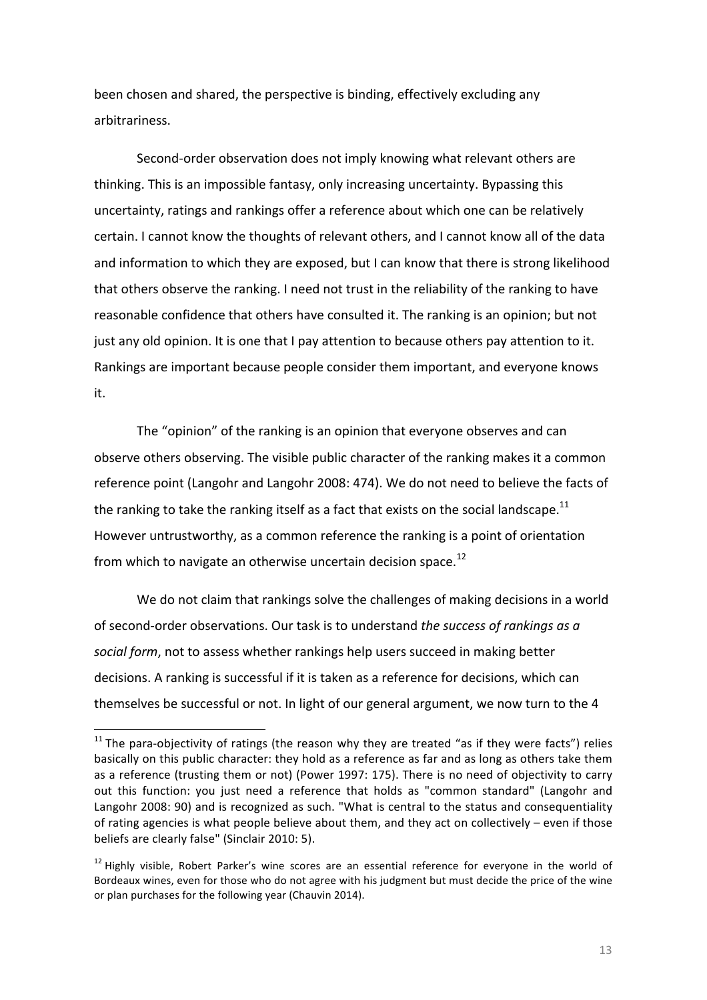been chosen and shared, the perspective is binding, effectively excluding any arbitrariness. 

Second-order observation does not imply knowing what relevant others are thinking. This is an impossible fantasy, only increasing uncertainty. Bypassing this uncertainty, ratings and rankings offer a reference about which one can be relatively certain. I cannot know the thoughts of relevant others, and I cannot know all of the data and information to which they are exposed, but I can know that there is strong likelihood that others observe the ranking. I need not trust in the reliability of the ranking to have reasonable confidence that others have consulted it. The ranking is an opinion; but not just any old opinion. It is one that I pay attention to because others pay attention to it. Rankings are important because people consider them important, and everyone knows it. 

The "opinion" of the ranking is an opinion that everyone observes and can observe others observing. The visible public character of the ranking makes it a common reference point (Langohr and Langohr 2008: 474). We do not need to believe the facts of the ranking to take the ranking itself as a fact that exists on the social landscape.<sup>11</sup> However untrustworthy, as a common reference the ranking is a point of orientation from which to navigate an otherwise uncertain decision space.<sup>12</sup>

We do not claim that rankings solve the challenges of making decisions in a world of second-order observations. Our task is to understand *the success of rankings as a* social form, not to assess whether rankings help users succeed in making better decisions. A ranking is successful if it is taken as a reference for decisions, which can themselves be successful or not. In light of our general argument, we now turn to the 4

<u> 1989 - Johann Stein, marwolaethau a bh</u>

 $11$  The para-objectivity of ratings (the reason why they are treated "as if they were facts") relies basically on this public character: they hold as a reference as far and as long as others take them as a reference (trusting them or not) (Power 1997: 175). There is no need of objectivity to carry out this function: you just need a reference that holds as "common standard" (Langohr and Langohr 2008: 90) and is recognized as such. "What is central to the status and consequentiality of rating agencies is what people believe about them, and they act on collectively – even if those beliefs are clearly false" (Sinclair 2010: 5).

 $12$  Highly visible, Robert Parker's wine scores are an essential reference for everyone in the world of Bordeaux wines, even for those who do not agree with his judgment but must decide the price of the wine or plan purchases for the following year (Chauvin 2014).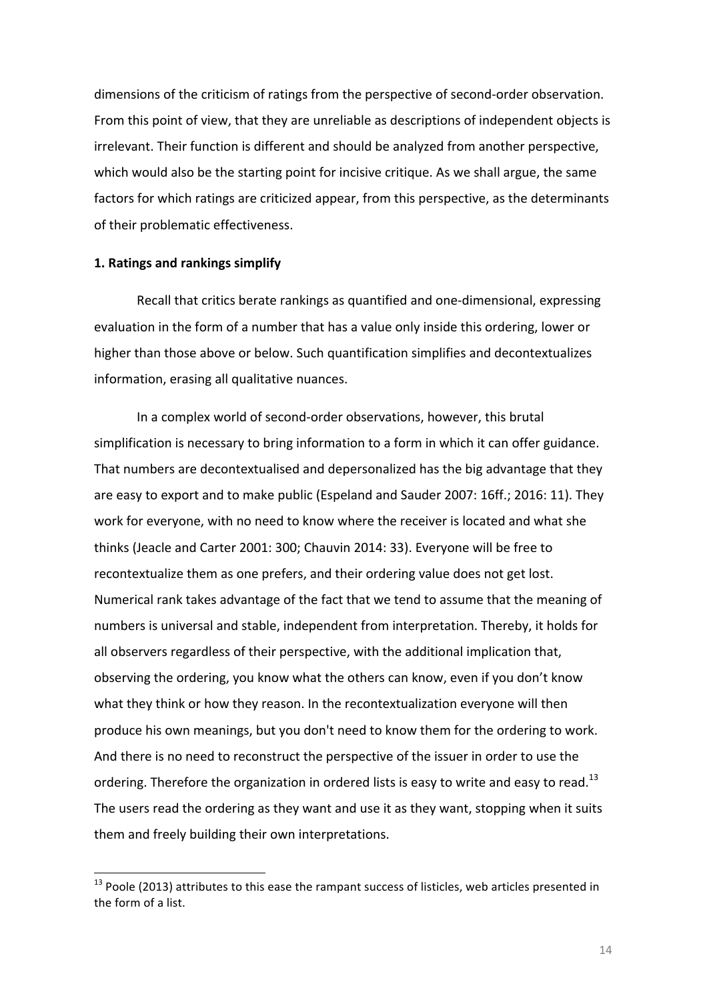dimensions of the criticism of ratings from the perspective of second-order observation. From this point of view, that they are unreliable as descriptions of independent objects is irrelevant. Their function is different and should be analyzed from another perspective, which would also be the starting point for incisive critique. As we shall argue, the same factors for which ratings are criticized appear, from this perspective, as the determinants of their problematic effectiveness.

#### 1. Ratings and rankings simplify

 

Recall that critics berate rankings as quantified and one-dimensional, expressing evaluation in the form of a number that has a value only inside this ordering, lower or higher than those above or below. Such quantification simplifies and decontextualizes information, erasing all qualitative nuances.

In a complex world of second-order observations, however, this brutal simplification is necessary to bring information to a form in which it can offer guidance. That numbers are decontextualised and depersonalized has the big advantage that they are easy to export and to make public (Espeland and Sauder 2007: 16ff.; 2016: 11). They work for everyone, with no need to know where the receiver is located and what she thinks (Jeacle and Carter 2001: 300; Chauvin 2014: 33). Everyone will be free to recontextualize them as one prefers, and their ordering value does not get lost. Numerical rank takes advantage of the fact that we tend to assume that the meaning of numbers is universal and stable, independent from interpretation. Thereby, it holds for all observers regardless of their perspective, with the additional implication that, observing the ordering, you know what the others can know, even if you don't know what they think or how they reason. In the recontextualization everyone will then produce his own meanings, but you don't need to know them for the ordering to work. And there is no need to reconstruct the perspective of the issuer in order to use the ordering. Therefore the organization in ordered lists is easy to write and easy to read.<sup>13</sup> The users read the ordering as they want and use it as they want, stopping when it suits them and freely building their own interpretations.

 $13$  Poole (2013) attributes to this ease the rampant success of listicles, web articles presented in the form of a list.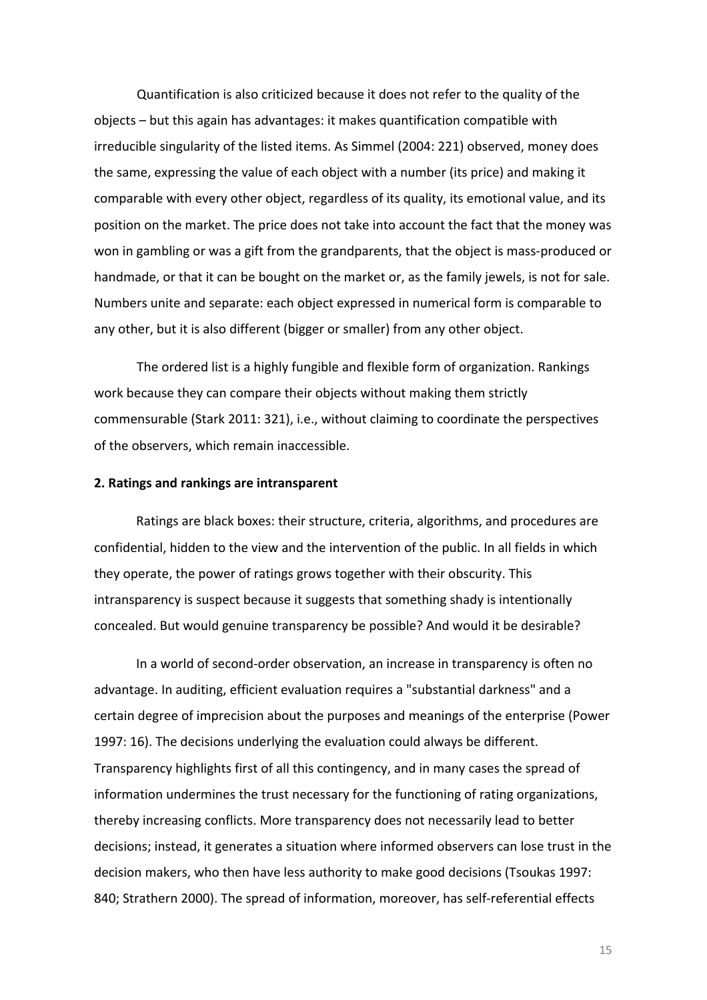Quantification is also criticized because it does not refer to the quality of the objects - but this again has advantages: it makes quantification compatible with irreducible singularity of the listed items. As Simmel (2004: 221) observed, money does the same, expressing the value of each object with a number (its price) and making it comparable with every other object, regardless of its quality, its emotional value, and its position on the market. The price does not take into account the fact that the money was won in gambling or was a gift from the grandparents, that the object is mass-produced or handmade, or that it can be bought on the market or, as the family jewels, is not for sale. Numbers unite and separate: each object expressed in numerical form is comparable to any other, but it is also different (bigger or smaller) from any other object.

The ordered list is a highly fungible and flexible form of organization. Rankings work because they can compare their objects without making them strictly commensurable (Stark 2011: 321), i.e., without claiming to coordinate the perspectives of the observers, which remain inaccessible.

### **2. Ratings and rankings are intransparent**

Ratings are black boxes: their structure, criteria, algorithms, and procedures are confidential, hidden to the view and the intervention of the public. In all fields in which they operate, the power of ratings grows together with their obscurity. This intransparency is suspect because it suggests that something shady is intentionally concealed. But would genuine transparency be possible? And would it be desirable?

In a world of second-order observation, an increase in transparency is often no advantage. In auditing, efficient evaluation requires a "substantial darkness" and a certain degree of imprecision about the purposes and meanings of the enterprise (Power 1997: 16). The decisions underlying the evaluation could always be different. Transparency highlights first of all this contingency, and in many cases the spread of information undermines the trust necessary for the functioning of rating organizations, thereby increasing conflicts. More transparency does not necessarily lead to better decisions; instead, it generates a situation where informed observers can lose trust in the decision makers, who then have less authority to make good decisions (Tsoukas 1997: 840; Strathern 2000). The spread of information, moreover, has self-referential effects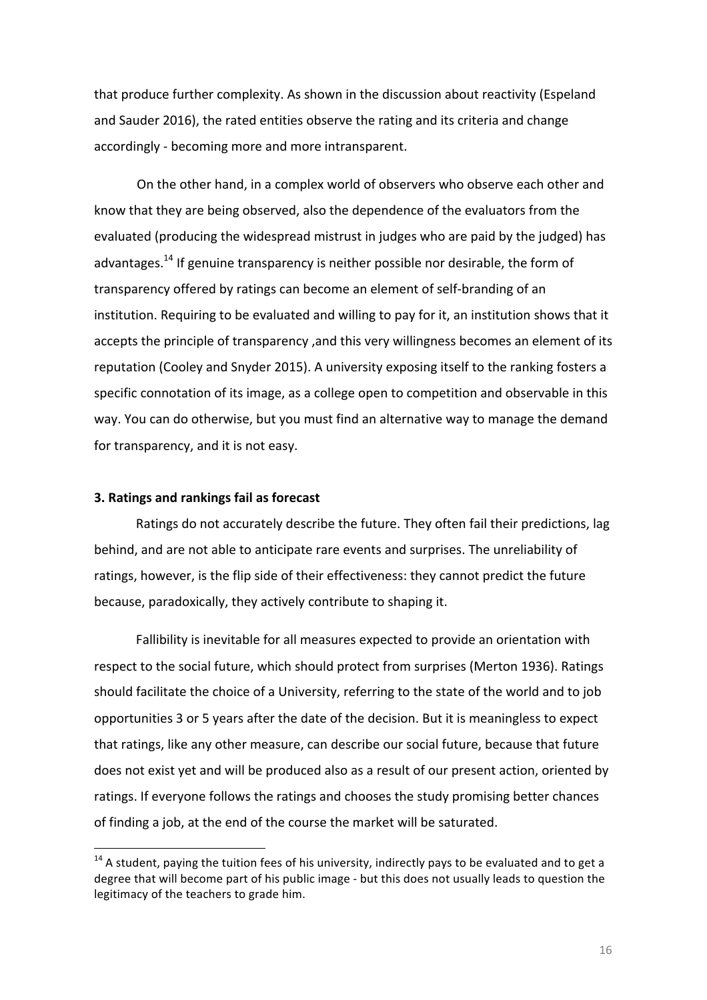that produce further complexity. As shown in the discussion about reactivity (Espeland and Sauder 2016), the rated entities observe the rating and its criteria and change accordingly - becoming more and more intransparent.

On the other hand, in a complex world of observers who observe each other and know that they are being observed, also the dependence of the evaluators from the evaluated (producing the widespread mistrust in judges who are paid by the judged) has advantages.<sup>14</sup> If genuine transparency is neither possible nor desirable, the form of transparency offered by ratings can become an element of self-branding of an institution. Requiring to be evaluated and willing to pay for it, an institution shows that it accepts the principle of transparency, and this very willingness becomes an element of its reputation (Cooley and Snyder 2015). A university exposing itself to the ranking fosters a specific connotation of its image, as a college open to competition and observable in this way. You can do otherwise, but you must find an alternative way to manage the demand for transparency, and it is not easy.

## **3. Ratings and rankings fail as forecast**

 

Ratings do not accurately describe the future. They often fail their predictions, lag behind, and are not able to anticipate rare events and surprises. The unreliability of ratings, however, is the flip side of their effectiveness: they cannot predict the future because, paradoxically, they actively contribute to shaping it.

Fallibility is inevitable for all measures expected to provide an orientation with respect to the social future, which should protect from surprises (Merton 1936). Ratings should facilitate the choice of a University, referring to the state of the world and to job opportunities 3 or 5 years after the date of the decision. But it is meaningless to expect that ratings, like any other measure, can describe our social future, because that future does not exist yet and will be produced also as a result of our present action, oriented by ratings. If everyone follows the ratings and chooses the study promising better chances of finding a job, at the end of the course the market will be saturated.

 $14$  A student, paying the tuition fees of his university, indirectly pays to be evaluated and to get a degree that will become part of his public image - but this does not usually leads to question the legitimacy of the teachers to grade him.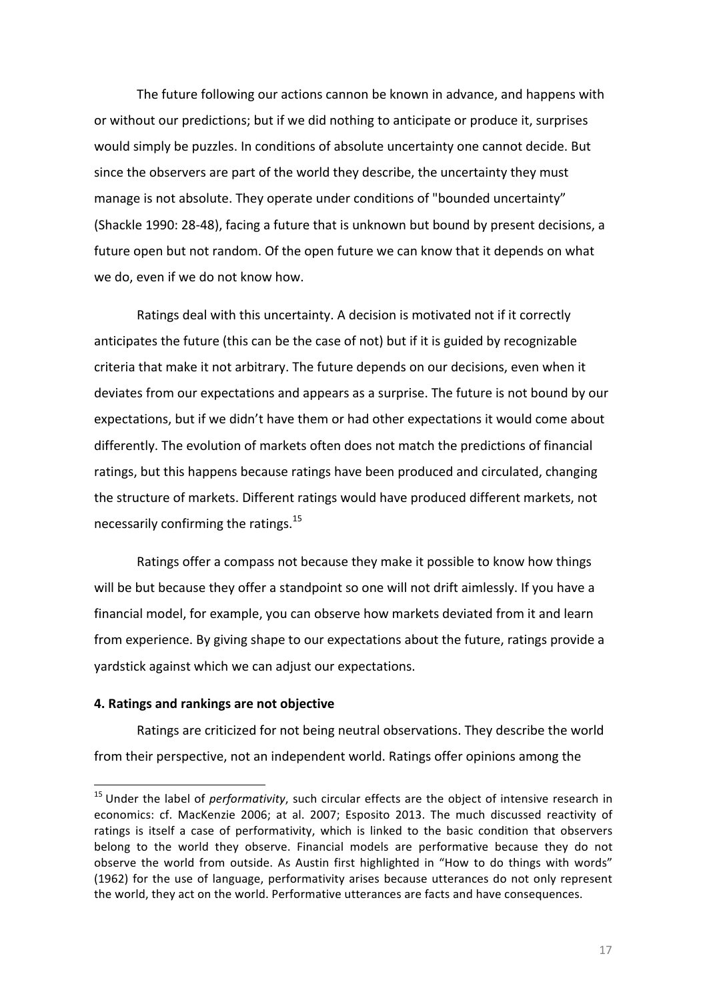The future following our actions cannon be known in advance, and happens with or without our predictions; but if we did nothing to anticipate or produce it, surprises would simply be puzzles. In conditions of absolute uncertainty one cannot decide. But since the observers are part of the world they describe, the uncertainty they must manage is not absolute. They operate under conditions of "bounded uncertainty" (Shackle 1990: 28-48), facing a future that is unknown but bound by present decisions, a future open but not random. Of the open future we can know that it depends on what we do, even if we do not know how.

Ratings deal with this uncertainty. A decision is motivated not if it correctly anticipates the future (this can be the case of not) but if it is guided by recognizable criteria that make it not arbitrary. The future depends on our decisions, even when it deviates from our expectations and appears as a surprise. The future is not bound by our expectations, but if we didn't have them or had other expectations it would come about differently. The evolution of markets often does not match the predictions of financial ratings, but this happens because ratings have been produced and circulated, changing the structure of markets. Different ratings would have produced different markets, not necessarily confirming the ratings. $^{15}$ 

Ratings offer a compass not because they make it possible to know how things will be but because they offer a standpoint so one will not drift aimlessly. If you have a financial model, for example, you can observe how markets deviated from it and learn from experience. By giving shape to our expectations about the future, ratings provide a yardstick against which we can adjust our expectations.

## **4. Ratings and rankings are not objective**

<u> 1989 - Johann Stein, marwolaethau a bh</u>

Ratings are criticized for not being neutral observations. They describe the world from their perspective, not an independent world. Ratings offer opinions among the

<sup>&</sup>lt;sup>15</sup> Under the label of *performativity*, such circular effects are the object of intensive research in economics: cf. MacKenzie 2006; at al. 2007; Esposito 2013. The much discussed reactivity of ratings is itself a case of performativity, which is linked to the basic condition that observers belong to the world they observe. Financial models are performative because they do not observe the world from outside. As Austin first highlighted in "How to do things with words" (1962) for the use of language, performativity arises because utterances do not only represent the world, they act on the world. Performative utterances are facts and have consequences.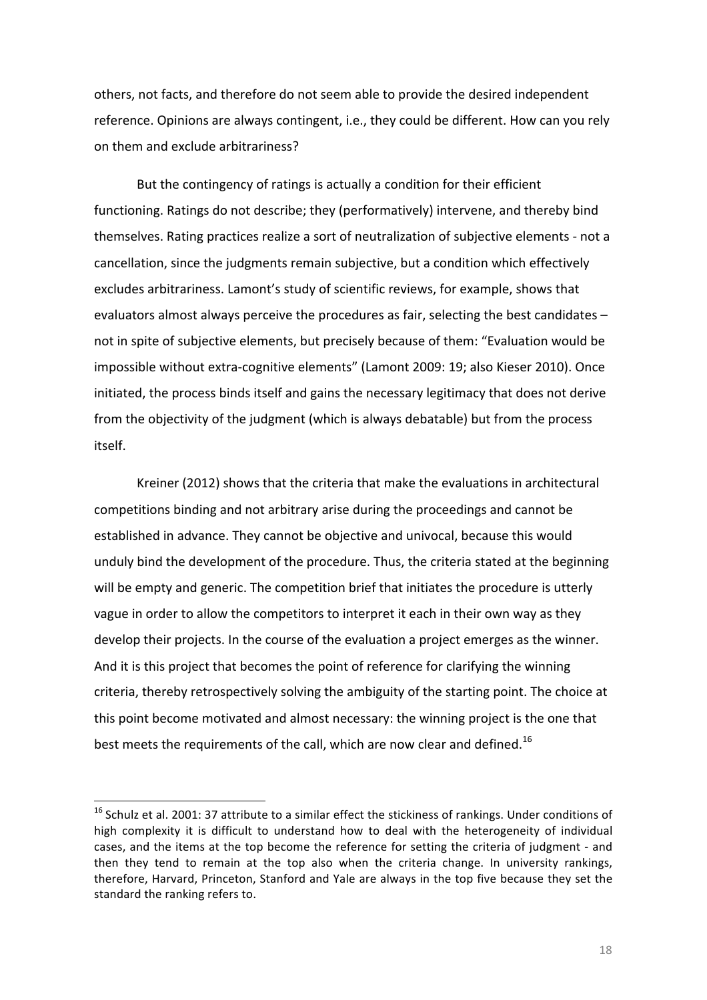others, not facts, and therefore do not seem able to provide the desired independent reference. Opinions are always contingent, i.e., they could be different. How can you rely on them and exclude arbitrariness?

But the contingency of ratings is actually a condition for their efficient functioning. Ratings do not describe; they (performatively) intervene, and thereby bind themselves. Rating practices realize a sort of neutralization of subjective elements - not a cancellation, since the judgments remain subjective, but a condition which effectively excludes arbitrariness. Lamont's study of scientific reviews, for example, shows that evaluators almost always perceive the procedures as fair, selecting the best candidates not in spite of subjective elements, but precisely because of them: "Evaluation would be impossible without extra-cognitive elements" (Lamont 2009: 19; also Kieser 2010). Once initiated, the process binds itself and gains the necessary legitimacy that does not derive from the objectivity of the judgment (which is always debatable) but from the process itself. 

Kreiner (2012) shows that the criteria that make the evaluations in architectural competitions binding and not arbitrary arise during the proceedings and cannot be established in advance. They cannot be objective and univocal, because this would unduly bind the development of the procedure. Thus, the criteria stated at the beginning will be empty and generic. The competition brief that initiates the procedure is utterly vague in order to allow the competitors to interpret it each in their own way as they develop their projects. In the course of the evaluation a project emerges as the winner. And it is this project that becomes the point of reference for clarifying the winning criteria, thereby retrospectively solving the ambiguity of the starting point. The choice at this point become motivated and almost necessary: the winning project is the one that best meets the requirements of the call, which are now clear and defined.<sup>16</sup>

<u> 1989 - Johann Stein, marwolaethau a bh</u>

 $16$  Schulz et al. 2001: 37 attribute to a similar effect the stickiness of rankings. Under conditions of high complexity it is difficult to understand how to deal with the heterogeneity of individual cases, and the items at the top become the reference for setting the criteria of judgment - and then they tend to remain at the top also when the criteria change. In university rankings, therefore, Harvard, Princeton, Stanford and Yale are always in the top five because they set the standard the ranking refers to.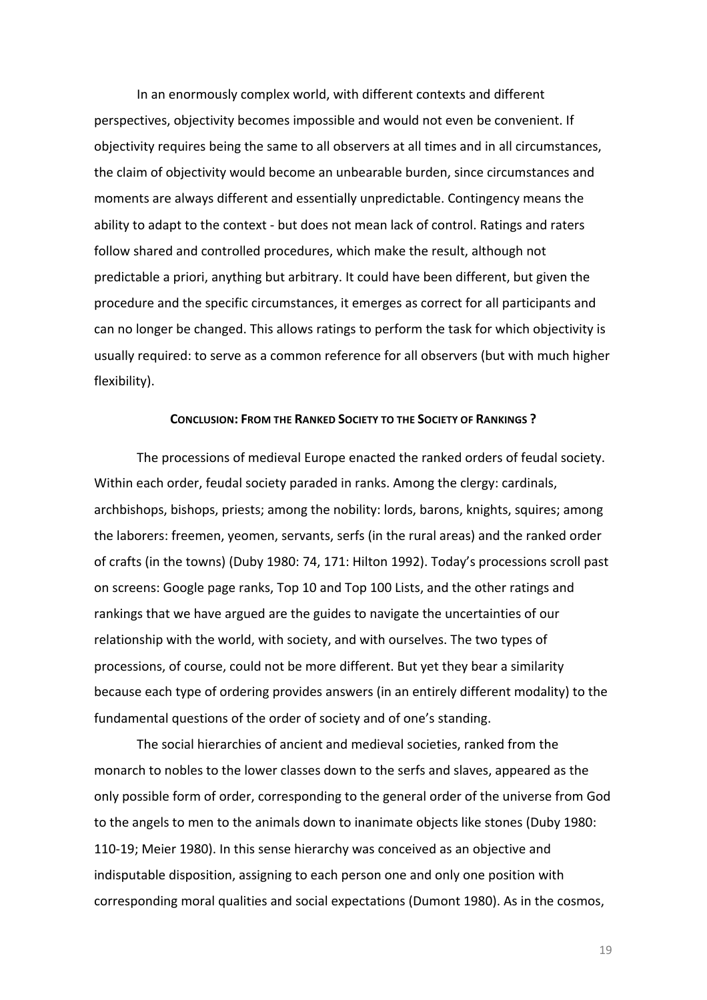In an enormously complex world, with different contexts and different perspectives, objectivity becomes impossible and would not even be convenient. If objectivity requires being the same to all observers at all times and in all circumstances, the claim of objectivity would become an unbearable burden, since circumstances and moments are always different and essentially unpredictable. Contingency means the ability to adapt to the context - but does not mean lack of control. Ratings and raters follow shared and controlled procedures, which make the result, although not predictable a priori, anything but arbitrary. It could have been different, but given the procedure and the specific circumstances, it emerges as correct for all participants and can no longer be changed. This allows ratings to perform the task for which objectivity is usually required: to serve as a common reference for all observers (but with much higher flexibility).

#### **CONCLUSION: FROM THE RANKED SOCIETY TO THE SOCIETY OF RANKINGS ?**

The processions of medieval Europe enacted the ranked orders of feudal society. Within each order, feudal society paraded in ranks. Among the clergy: cardinals, archbishops, bishops, priests; among the nobility: lords, barons, knights, squires; among the laborers: freemen, yeomen, servants, serfs (in the rural areas) and the ranked order of crafts (in the towns) (Duby 1980: 74, 171: Hilton 1992). Today's processions scroll past on screens: Google page ranks, Top 10 and Top 100 Lists, and the other ratings and rankings that we have argued are the guides to navigate the uncertainties of our relationship with the world, with society, and with ourselves. The two types of processions, of course, could not be more different. But yet they bear a similarity because each type of ordering provides answers (in an entirely different modality) to the fundamental questions of the order of society and of one's standing.

The social hierarchies of ancient and medieval societies, ranked from the monarch to nobles to the lower classes down to the serfs and slaves, appeared as the only possible form of order, corresponding to the general order of the universe from God to the angels to men to the animals down to inanimate objects like stones (Duby 1980: 110-19; Meier 1980). In this sense hierarchy was conceived as an objective and indisputable disposition, assigning to each person one and only one position with corresponding moral qualities and social expectations (Dumont 1980). As in the cosmos,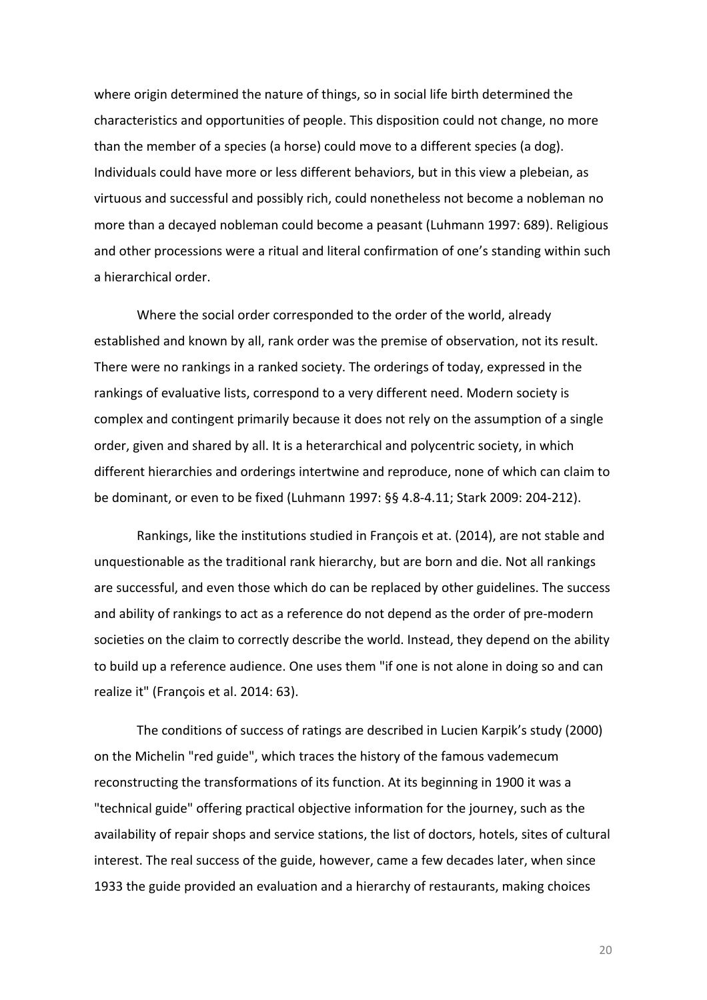where origin determined the nature of things, so in social life birth determined the characteristics and opportunities of people. This disposition could not change, no more than the member of a species (a horse) could move to a different species (a dog). Individuals could have more or less different behaviors, but in this view a plebeian, as virtuous and successful and possibly rich, could nonetheless not become a nobleman no more than a decayed nobleman could become a peasant (Luhmann 1997: 689). Religious and other processions were a ritual and literal confirmation of one's standing within such a hierarchical order.

Where the social order corresponded to the order of the world, already established and known by all, rank order was the premise of observation, not its result. There were no rankings in a ranked society. The orderings of today, expressed in the rankings of evaluative lists, correspond to a very different need. Modern society is complex and contingent primarily because it does not rely on the assumption of a single order, given and shared by all. It is a heterarchical and polycentric society, in which different hierarchies and orderings intertwine and reproduce, none of which can claim to be dominant, or even to be fixed (Luhmann 1997: §§ 4.8-4.11; Stark 2009: 204-212).

Rankings, like the institutions studied in François et at. (2014), are not stable and unquestionable as the traditional rank hierarchy, but are born and die. Not all rankings are successful, and even those which do can be replaced by other guidelines. The success and ability of rankings to act as a reference do not depend as the order of pre-modern societies on the claim to correctly describe the world. Instead, they depend on the ability to build up a reference audience. One uses them "if one is not alone in doing so and can realize it" (François et al. 2014: 63).

The conditions of success of ratings are described in Lucien Karpik's study (2000) on the Michelin "red guide", which traces the history of the famous vademecum reconstructing the transformations of its function. At its beginning in 1900 it was a "technical guide" offering practical objective information for the journey, such as the availability of repair shops and service stations, the list of doctors, hotels, sites of cultural interest. The real success of the guide, however, came a few decades later, when since 1933 the guide provided an evaluation and a hierarchy of restaurants, making choices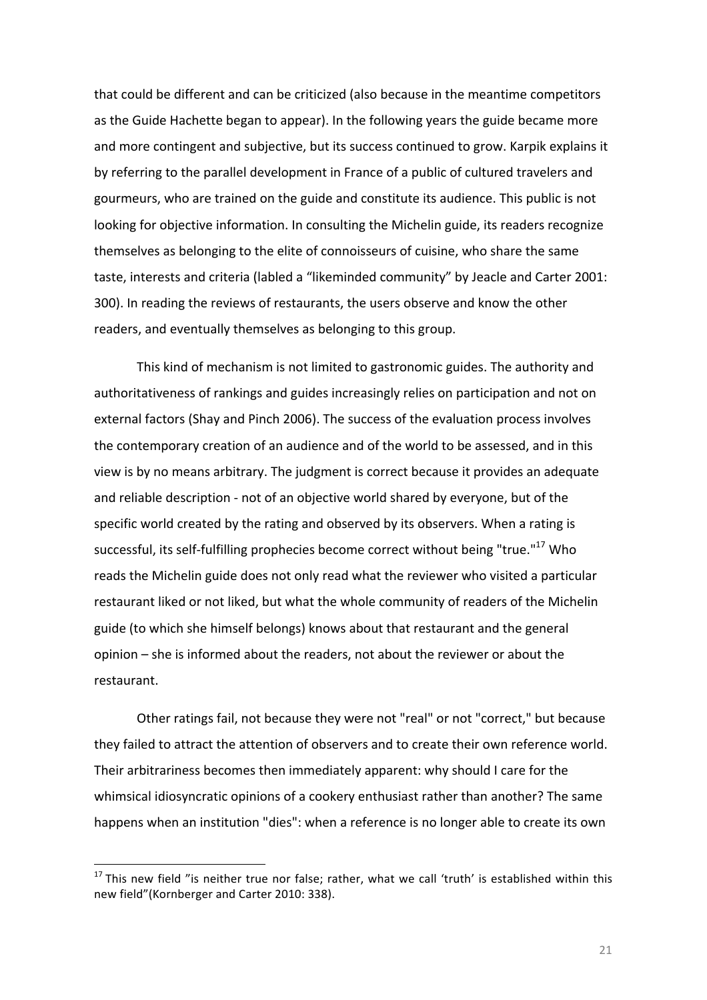that could be different and can be criticized (also because in the meantime competitors as the Guide Hachette began to appear). In the following years the guide became more and more contingent and subjective, but its success continued to grow. Karpik explains it by referring to the parallel development in France of a public of cultured travelers and gourmeurs, who are trained on the guide and constitute its audience. This public is not looking for objective information. In consulting the Michelin guide, its readers recognize themselves as belonging to the elite of connoisseurs of cuisine, who share the same taste, interests and criteria (labled a "likeminded community" by Jeacle and Carter 2001: 300). In reading the reviews of restaurants, the users observe and know the other readers, and eventually themselves as belonging to this group.

This kind of mechanism is not limited to gastronomic guides. The authority and authoritativeness of rankings and guides increasingly relies on participation and not on external factors (Shay and Pinch 2006). The success of the evaluation process involves the contemporary creation of an audience and of the world to be assessed, and in this view is by no means arbitrary. The judgment is correct because it provides an adequate and reliable description - not of an objective world shared by everyone, but of the specific world created by the rating and observed by its observers. When a rating is successful, its self-fulfilling prophecies become correct without being "true."<sup>17</sup> Who reads the Michelin guide does not only read what the reviewer who visited a particular restaurant liked or not liked, but what the whole community of readers of the Michelin guide (to which she himself belongs) knows about that restaurant and the general opinion – she is informed about the readers, not about the reviewer or about the restaurant.

Other ratings fail, not because they were not "real" or not "correct," but because they failed to attract the attention of observers and to create their own reference world. Their arbitrariness becomes then immediately apparent: why should I care for the whimsical idiosyncratic opinions of a cookery enthusiast rather than another? The same happens when an institution "dies": when a reference is no longer able to create its own

 $17$  This new field "is neither true nor false; rather, what we call 'truth' is established within this new field"(Kornberger and Carter 2010: 338).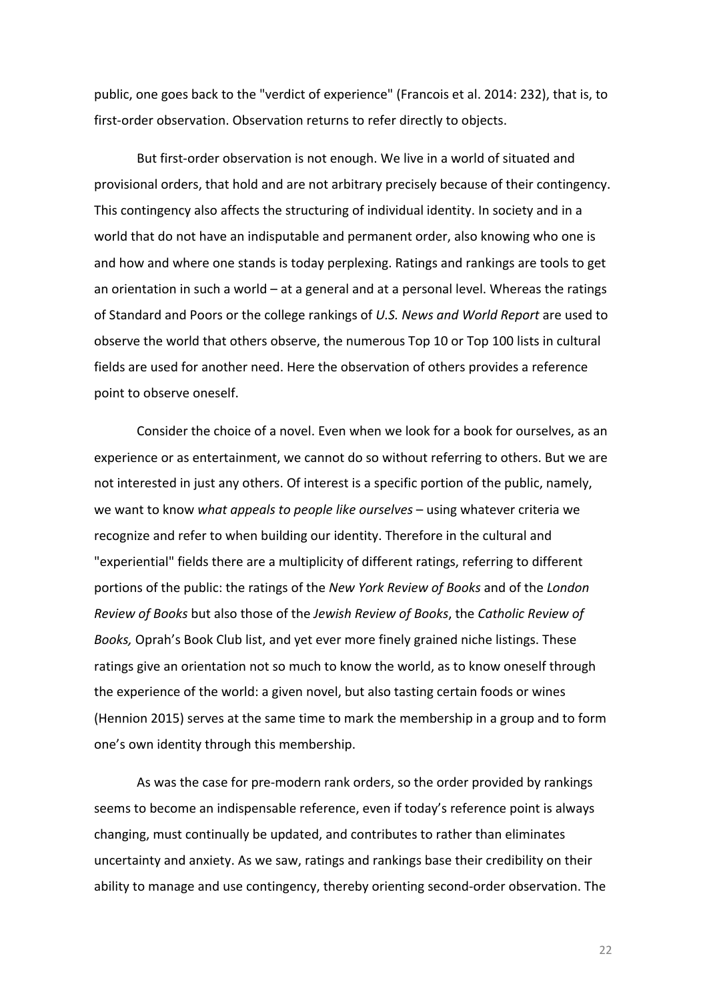public, one goes back to the "verdict of experience" (Francois et al. 2014: 232), that is, to first-order observation. Observation returns to refer directly to objects.

But first-order observation is not enough. We live in a world of situated and provisional orders, that hold and are not arbitrary precisely because of their contingency. This contingency also affects the structuring of individual identity. In society and in a world that do not have an indisputable and permanent order, also knowing who one is and how and where one stands is today perplexing. Ratings and rankings are tools to get an orientation in such a world  $-$  at a general and at a personal level. Whereas the ratings of Standard and Poors or the college rankings of *U.S. News and World Report* are used to observe the world that others observe, the numerous Top 10 or Top 100 lists in cultural fields are used for another need. Here the observation of others provides a reference point to observe oneself.

Consider the choice of a novel. Even when we look for a book for ourselves, as an experience or as entertainment, we cannot do so without referring to others. But we are not interested in just any others. Of interest is a specific portion of the public, namely, we want to know *what appeals to people like ourselves* – using whatever criteria we recognize and refer to when building our identity. Therefore in the cultural and "experiential" fields there are a multiplicity of different ratings, referring to different portions of the public: the ratings of the *New York Review of Books* and of the *London Review of Books* but also those of the *Jewish Review of Books*, the *Catholic Review of* Books, Oprah's Book Club list, and yet ever more finely grained niche listings. These ratings give an orientation not so much to know the world, as to know oneself through the experience of the world: a given novel, but also tasting certain foods or wines (Hennion 2015) serves at the same time to mark the membership in a group and to form one's own identity through this membership.

As was the case for pre-modern rank orders, so the order provided by rankings seems to become an indispensable reference, even if today's reference point is always changing, must continually be updated, and contributes to rather than eliminates uncertainty and anxiety. As we saw, ratings and rankings base their credibility on their ability to manage and use contingency, thereby orienting second-order observation. The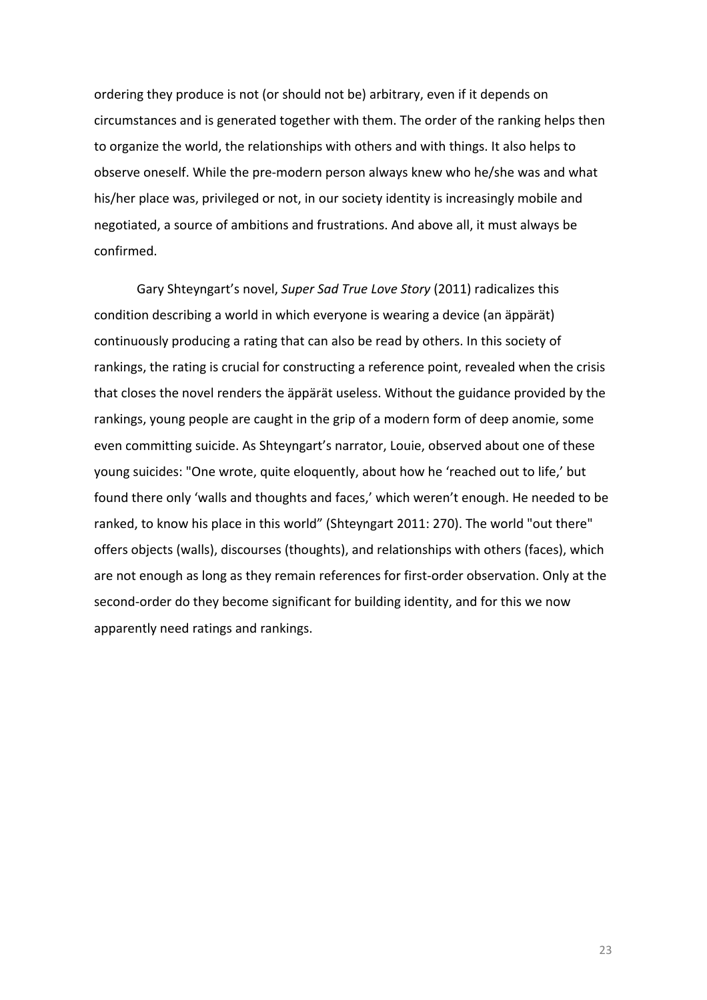ordering they produce is not (or should not be) arbitrary, even if it depends on circumstances and is generated together with them. The order of the ranking helps then to organize the world, the relationships with others and with things. It also helps to observe oneself. While the pre-modern person always knew who he/she was and what his/her place was, privileged or not, in our society identity is increasingly mobile and negotiated, a source of ambitions and frustrations. And above all, it must always be confirmed. 

Gary Shteyngart's novel, Super Sad True Love Story (2011) radicalizes this condition describing a world in which everyone is wearing a device (an äppärät) continuously producing a rating that can also be read by others. In this society of rankings, the rating is crucial for constructing a reference point, revealed when the crisis that closes the novel renders the äppärät useless. Without the guidance provided by the rankings, young people are caught in the grip of a modern form of deep anomie, some even committing suicide. As Shteyngart's narrator, Louie, observed about one of these young suicides: "One wrote, quite eloquently, about how he 'reached out to life,' but found there only 'walls and thoughts and faces,' which weren't enough. He needed to be ranked, to know his place in this world" (Shteyngart 2011: 270). The world "out there" offers objects (walls), discourses (thoughts), and relationships with others (faces), which are not enough as long as they remain references for first-order observation. Only at the second-order do they become significant for building identity, and for this we now apparently need ratings and rankings.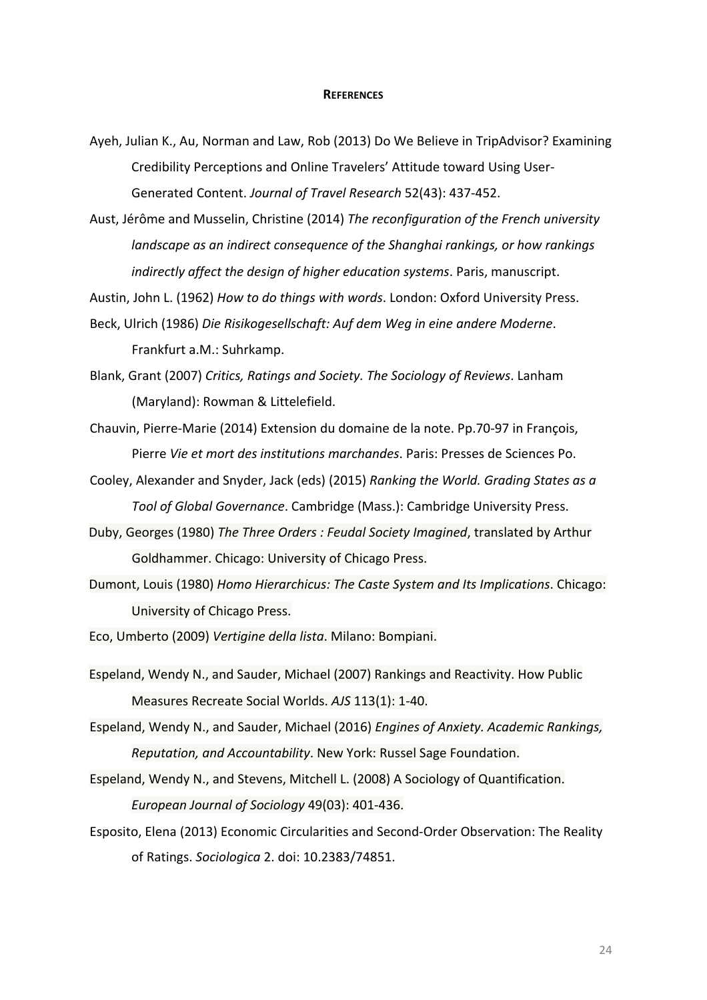#### **REFERENCES**

Ayeh, Julian K., Au, Norman and Law, Rob (2013) Do We Believe in TripAdvisor? Examining Credibility Perceptions and Online Travelers' Attitude toward Using User-Generated Content. *Journal of Travel Research* 52(43): 437-452.

Aust, Jérôme and Musselin, Christine (2014) The reconfiguration of the French university *landscape as an indirect consequence of the Shanghai rankings, or how rankings* indirectly affect the design of higher education systems. Paris, manuscript.

Austin, John L. (1962) *How to do things with words*. London: Oxford University Press.

Beck, Ulrich (1986) Die Risikogesellschaft: Auf dem Weg in eine andere Moderne. Frankfurt a.M.: Suhrkamp.

Blank, Grant (2007) Critics, Ratings and Society. The Sociology of Reviews, Lanham (Maryland): Rowman & Littelefield.

Chauvin, Pierre-Marie (2014) Extension du domaine de la note. Pp.70-97 in François, Pierre Vie et mort des institutions marchandes. Paris: Presses de Sciences Po.

Cooley, Alexander and Snyder, Jack (eds) (2015) *Ranking the World. Grading States as a* **Tool of Global Governance.** Cambridge (Mass.): Cambridge University Press.

- Duby, Georges (1980) The Three Orders : Feudal Society Imagined, translated by Arthur Goldhammer. Chicago: University of Chicago Press.
- Dumont, Louis (1980) Homo Hierarchicus: The Caste System and Its Implications. Chicago: University of Chicago Press.

Eco, Umberto (2009) *Vertigine della lista*. Milano: Bompiani.

- Espeland, Wendy N., and Sauder, Michael (2007) Rankings and Reactivity. How Public Measures Recreate Social Worlds. *AJS* 113(1): 1-40.
- Espeland, Wendy N., and Sauder, Michael (2016) *Engines of Anxiety. Academic Rankings, Reputation, and Accountability.* New York: Russel Sage Foundation.
- Espeland, Wendy N., and Stevens, Mitchell L. (2008) A Sociology of Quantification. *European Journal of Sociology* 49(03): 401-436.
- Esposito, Elena (2013) Economic Circularities and Second-Order Observation: The Reality of Ratings. *Sociologica* 2. doi: 10.2383/74851.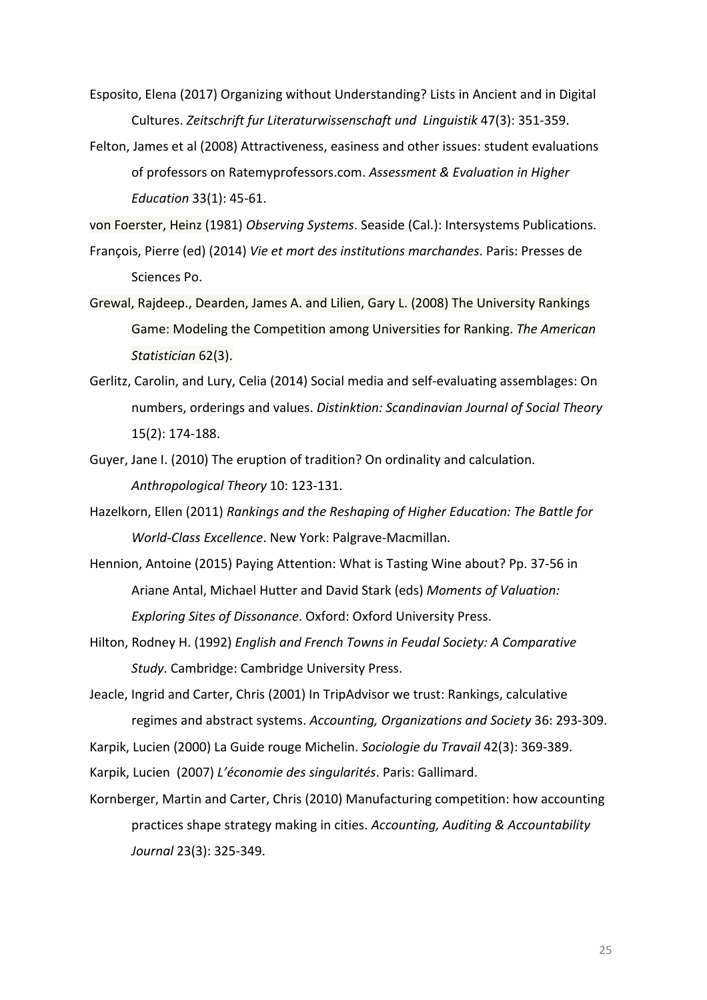Esposito, Elena (2017) Organizing without Understanding? Lists in Ancient and in Digital Cultures. Zeitschrift fur Literaturwissenschaft und Linguistik 47(3): 351-359.

Felton, James et al (2008) Attractiveness, easiness and other issues: student evaluations of professors on Ratemyprofessors.com. Assessment & Evaluation in Higher *Education* 33(1): 45-61.

von Foerster, Heinz (1981) Observing Systems. Seaside (Cal.): Intersystems Publications.

- François, Pierre (ed) (2014) Vie et mort des institutions marchandes. Paris: Presses de Sciences Po.
- Grewal, Rajdeep., Dearden, James A. and Lilien, Gary L. (2008) The University Rankings Game: Modeling the Competition among Universities for Ranking. The American *Statistician* 62(3).
- Gerlitz, Carolin, and Lury, Celia (2014) Social media and self-evaluating assemblages: On numbers, orderings and values. Distinktion: Scandinavian Journal of Social Theory 15(2): 174-188.
- Guyer, Jane I. (2010) The eruption of tradition? On ordinality and calculation. *Anthropological Theory* 10: 123-131.
- Hazelkorn, Ellen (2011) *Rankings and the Reshaping of Higher Education: The Battle for World-Class Excellence*. New York: Palgrave-Macmillan.
- Hennion, Antoine (2015) Paying Attention: What is Tasting Wine about? Pp. 37-56 in Ariane Antal, Michael Hutter and David Stark (eds) Moments of Valuation: *Exploring Sites of Dissonance*. Oxford: Oxford University Press.
- Hilton, Rodney H. (1992) *English and French Towns in Feudal Society: A Comparative* Study. Cambridge: Cambridge University Press.

Jeacle, Ingrid and Carter, Chris (2001) In TripAdvisor we trust: Rankings, calculative regimes and abstract systems. *Accounting, Organizations and Society* 36: 293-309.

Karpik, Lucien (2000) La Guide rouge Michelin. *Sociologie du Travail* 42(3): 369-389.

Karpik, Lucien (2007) L'économie des singularités. Paris: Gallimard.

Kornberger, Martin and Carter, Chris (2010) Manufacturing competition: how accounting practices shape strategy making in cities. *Accounting, Auditing & Accountability Journal* 23(3): 325-349.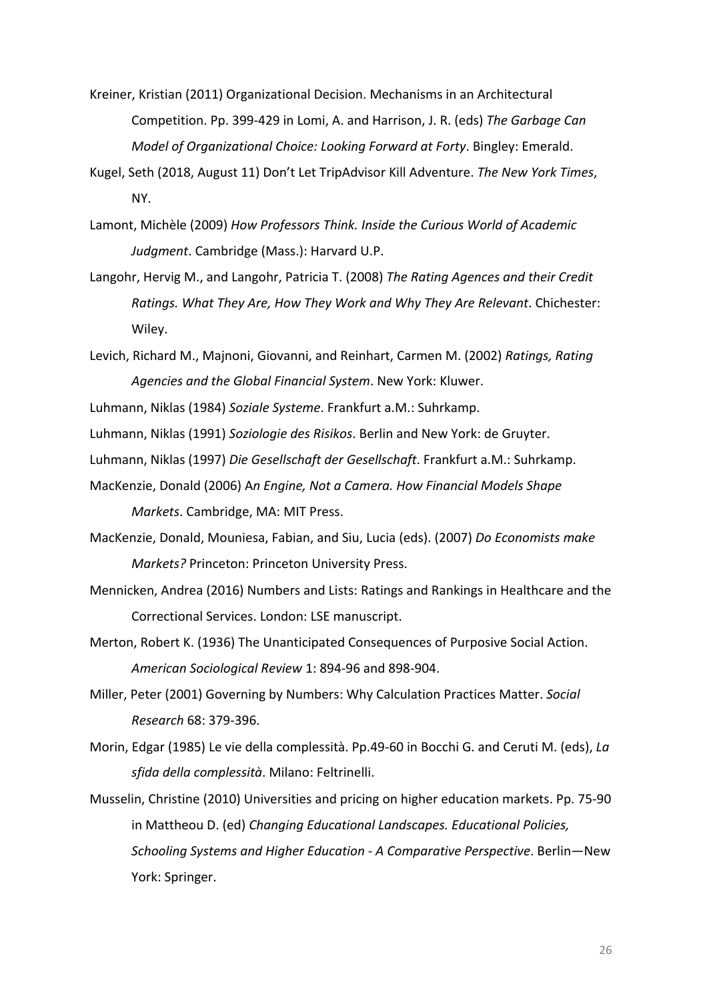- Kreiner, Kristian (2011) Organizational Decision. Mechanisms in an Architectural Competition. Pp. 399-429 in Lomi, A. and Harrison, J. R. (eds) The Garbage Can *Model of Organizational Choice: Looking Forward at Forty. Bingley: Emerald.*
- Kugel, Seth (2018, August 11) Don't Let TripAdvisor Kill Adventure. The New York Times, NY.
- Lamont, Michèle (2009) How Professors Think. Inside the Curious World of Academic Judgment. Cambridge (Mass.): Harvard U.P.
- Langohr, Hervig M., and Langohr, Patricia T. (2008) *The Rating Agences and their Credit Ratings. What They Are, How They Work and Why They Are Relevant*. Chichester: Wiley.
- Levich, Richard M., Majnoni, Giovanni, and Reinhart, Carmen M. (2002) *Ratings, Rating* Agencies and the Global Financial System. New York: Kluwer.
- Luhmann, Niklas (1984) Soziale Systeme. Frankfurt a.M.: Suhrkamp.
- Luhmann, Niklas (1991) Soziologie des Risikos. Berlin and New York: de Gruyter.
- Luhmann, Niklas (1997) Die Gesellschaft der Gesellschaft. Frankfurt a.M.: Suhrkamp.
- MacKenzie, Donald (2006) An Engine, Not a Camera. How Financial Models Shape *Markets*. Cambridge, MA: MIT Press.
- MacKenzie, Donald, Mouniesa, Fabian, and Siu, Lucia (eds). (2007) *Do Economists make Markets?* Princeton: Princeton University Press.
- Mennicken, Andrea (2016) Numbers and Lists: Ratings and Rankings in Healthcare and the Correctional Services. London: LSE manuscript.
- Merton, Robert K. (1936) The Unanticipated Consequences of Purposive Social Action. *American Sociological Review* 1: 894-96 and 898-904.
- Miller, Peter (2001) Governing by Numbers: Why Calculation Practices Matter. Social *Research* 68: 379-396.
- Morin, Edgar (1985) Le vie della complessità. Pp.49-60 in Bocchi G. and Ceruti M. (eds), *La sfida della complessità*. Milano: Feltrinelli.
- Musselin, Christine (2010) Universities and pricing on higher education markets. Pp. 75-90 in Mattheou D. (ed) *Changing Educational Landscapes. Educational Policies, Schooling Systems and Higher Education - A Comparative Perspective*. Berlin—New York: Springer.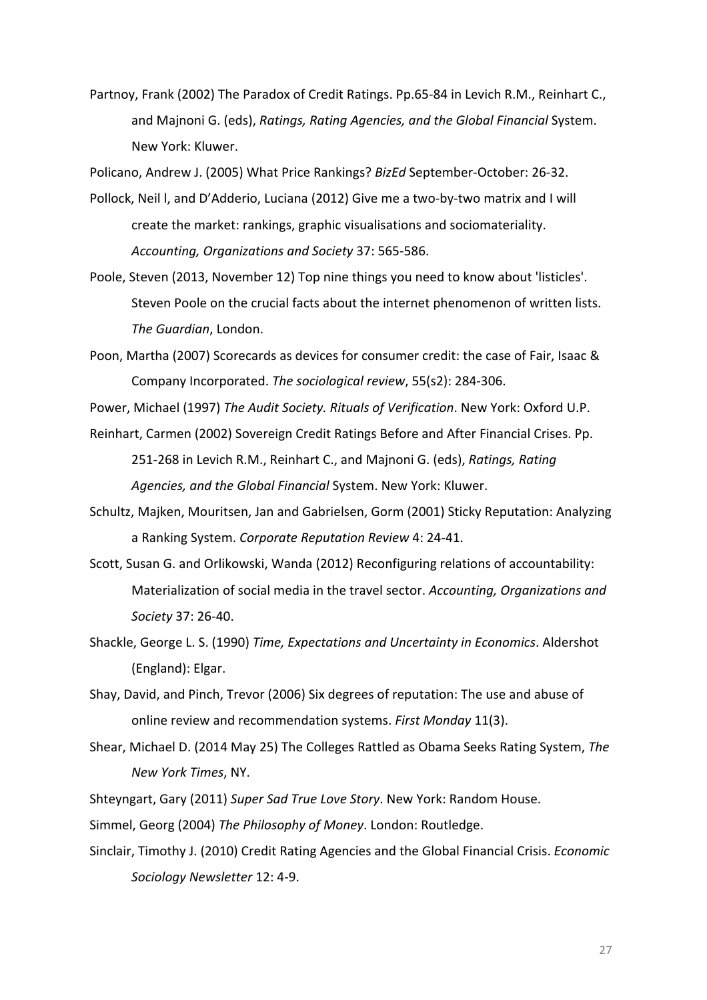Partnoy, Frank (2002) The Paradox of Credit Ratings. Pp.65-84 in Levich R.M., Reinhart C., and Majnoni G. (eds), Ratings, Rating Agencies, and the Global Financial System. New York: Kluwer.

Policano, Andrew J. (2005) What Price Rankings? *BizEd* September-October: 26-32.

- Pollock, Neil I, and D'Adderio, Luciana (2012) Give me a two-by-two matrix and I will create the market: rankings, graphic visualisations and sociomateriality. *Accounting, Organizations and Society* 37: 565-586.
- Poole, Steven (2013, November 12) Top nine things you need to know about 'listicles'. Steven Poole on the crucial facts about the internet phenomenon of written lists. *The Guardian*, London.
- Poon, Martha (2007) Scorecards as devices for consumer credit: the case of Fair, Isaac & Company Incorporated. The sociological review, 55(s2): 284-306.

Power, Michael (1997) The Audit Society. Rituals of Verification. New York: Oxford U.P.

- Reinhart, Carmen (2002) Sovereign Credit Ratings Before and After Financial Crises. Pp. 251-268 in Levich R.M., Reinhart C., and Majnoni G. (eds), *Ratings, Rating* Agencies, and the Global Financial System. New York: Kluwer.
- Schultz, Majken, Mouritsen, Jan and Gabrielsen, Gorm (2001) Sticky Reputation: Analyzing a Ranking System. *Corporate Reputation Review* 4: 24-41.
- Scott, Susan G. and Orlikowski, Wanda (2012) Reconfiguring relations of accountability: Materialization of social media in the travel sector. Accounting, Organizations and *Society* 37: 26-40.
- Shackle, George L. S. (1990) *Time, Expectations and Uncertainty in Economics*. Aldershot (England): Elgar.
- Shay, David, and Pinch, Trevor (2006) Six degrees of reputation: The use and abuse of online review and recommendation systems. *First Monday* 11(3).
- Shear, Michael D. (2014 May 25) The Colleges Rattled as Obama Seeks Rating System, The *New York Times*, NY.
- Shteyngart, Gary (2011) Super Sad True Love Story. New York: Random House.

Simmel, Georg (2004) The Philosophy of Money. London: Routledge.

Sinclair, Timothy J. (2010) Credit Rating Agencies and the Global Financial Crisis. *Economic Sociology Newsletter* 12: 4-9.